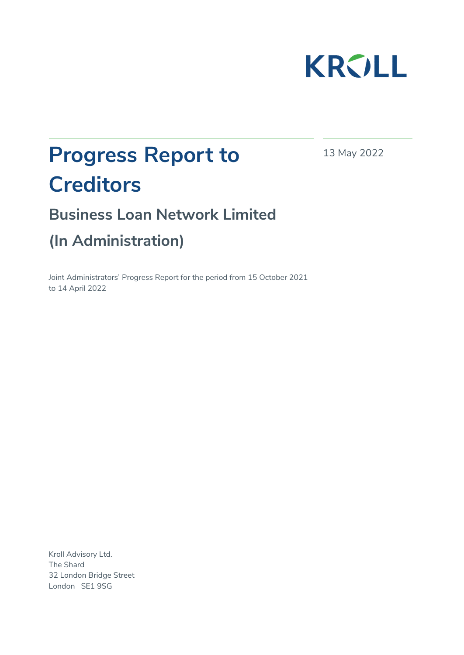

13 May 2022

# **Progress Report to Creditors**

**Business Loan Network Limited (In Administration)** 

Joint Administrators' Progress Report for the period from 15 October 2021 to 14 April 2022

Kroll Advisory Ltd. The Shard 32 London Bridge Street London SE1 9SG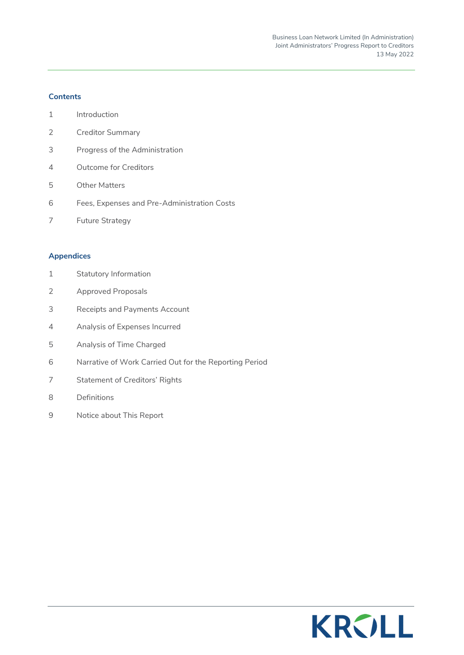# **Contents**

- 1 Introduction
- 2 Creditor Summary
- 3 Progress of the Administration
- 4 Outcome for Creditors
- 5 Other Matters
- 6 Fees, Expenses and Pre-Administration Costs
- 7 Future Strategy

#### **Appendices**

- 1 Statutory Information
- 2 Approved Proposals
- 3 Receipts and Payments Account
- 4 Analysis of Expenses Incurred
- 5 Analysis of Time Charged
- 6 Narrative of Work Carried Out for the Reporting Period
- 7 Statement of Creditors' Rights
- 8 Definitions
- 9 Notice about This Report

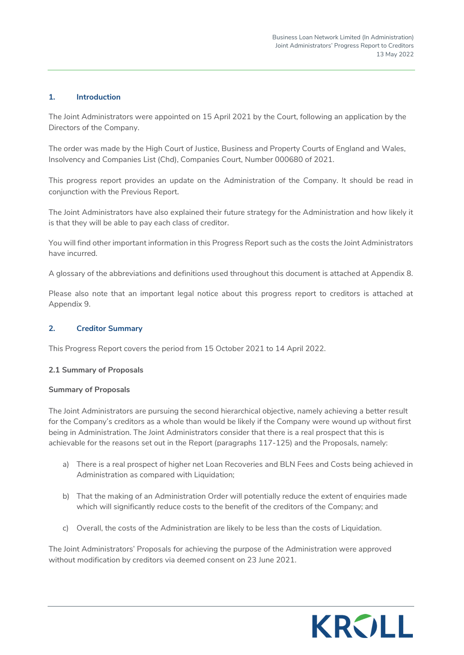# **1. Introduction**

The Joint Administrators were appointed on 15 April 2021 by the Court, following an application by the Directors of the Company.

The order was made by the High Court of Justice, Business and Property Courts of England and Wales, Insolvency and Companies List (Chd), Companies Court, Number 000680 of 2021.

This progress report provides an update on the Administration of the Company. It should be read in conjunction with the Previous Report.

The Joint Administrators have also explained their future strategy for the Administration and how likely it is that they will be able to pay each class of creditor.

You will find other important information in this Progress Report such as the costs the Joint Administrators have incurred.

A glossary of the abbreviations and definitions used throughout this document is attached at Appendix 8.

Please also note that an important legal notice about this progress report to creditors is attached at Appendix 9.

#### **2. Creditor Summary**

This Progress Report covers the period from 15 October 2021 to 14 April 2022.

#### **2.1 Summary of Proposals**

#### **Summary of Proposals**

The Joint Administrators are pursuing the second hierarchical objective, namely achieving a better result for the Company's creditors as a whole than would be likely if the Company were wound up without first being in Administration. The Joint Administrators consider that there is a real prospect that this is achievable for the reasons set out in the Report (paragraphs 117-125) and the Proposals, namely:

- a) There is a real prospect of higher net Loan Recoveries and BLN Fees and Costs being achieved in Administration as compared with Liquidation;
- b) That the making of an Administration Order will potentially reduce the extent of enquiries made which will significantly reduce costs to the benefit of the creditors of the Company; and
- c) Overall, the costs of the Administration are likely to be less than the costs of Liquidation.

The Joint Administrators' Proposals for achieving the purpose of the Administration were approved without modification by creditors via deemed consent on 23 June 2021.

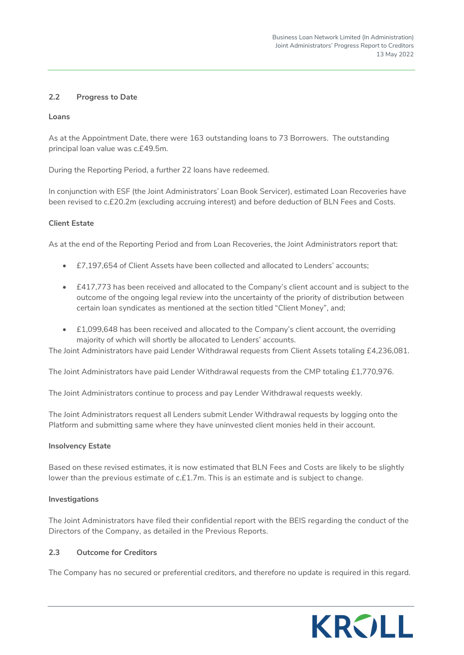# **2.2 Progress to Date**

#### **Loans**

As at the Appointment Date, there were 163 outstanding loans to 73 Borrowers. The outstanding principal loan value was c.£49.5m.

During the Reporting Period, a further 22 loans have redeemed.

In conjunction with ESF (the Joint Administrators' Loan Book Servicer), estimated Loan Recoveries have been revised to c.£20.2m (excluding accruing interest) and before deduction of BLN Fees and Costs.

#### **Client Estate**

As at the end of the Reporting Period and from Loan Recoveries, the Joint Administrators report that:

- £7,197,654 of Client Assets have been collected and allocated to Lenders' accounts;
- £417,773 has been received and allocated to the Company's client account and is subject to the outcome of the ongoing legal review into the uncertainty of the priority of distribution between certain loan syndicates as mentioned at the section titled "Client Money", and;
- £1,099,648 has been received and allocated to the Company's client account, the overriding majority of which will shortly be allocated to Lenders' accounts.

The Joint Administrators have paid Lender Withdrawal requests from Client Assets totaling £4,236,081.

The Joint Administrators have paid Lender Withdrawal requests from the CMP totaling £1,770,976.

The Joint Administrators continue to process and pay Lender Withdrawal requests weekly.

The Joint Administrators request all Lenders submit Lender Withdrawal requests by logging onto the Platform and submitting same where they have uninvested client monies held in their account.

#### **Insolvency Estate**

Based on these revised estimates, it is now estimated that BLN Fees and Costs are likely to be slightly lower than the previous estimate of c.£1.7m. This is an estimate and is subject to change.

#### **Investigations**

The Joint Administrators have filed their confidential report with the BEIS regarding the conduct of the Directors of the Company, as detailed in the Previous Reports.

#### **2.3 Outcome for Creditors**

The Company has no secured or preferential creditors, and therefore no update is required in this regard.

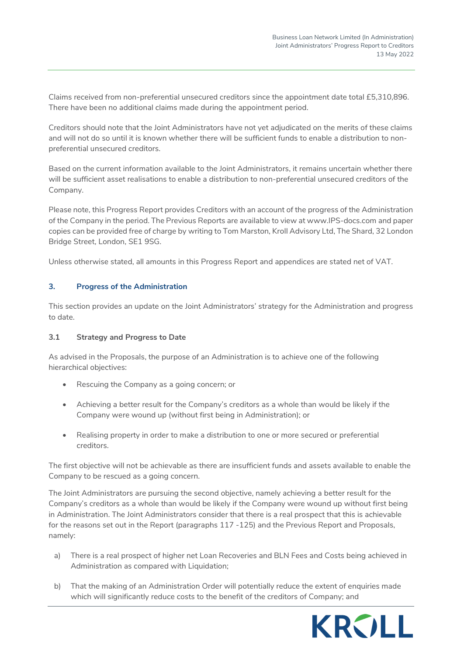Claims received from non-preferential unsecured creditors since the appointment date total £5,310,896. There have been no additional claims made during the appointment period.

Creditors should note that the Joint Administrators have not yet adjudicated on the merits of these claims and will not do so until it is known whether there will be sufficient funds to enable a distribution to nonpreferential unsecured creditors.

Based on the current information available to the Joint Administrators, it remains uncertain whether there will be sufficient asset realisations to enable a distribution to non-preferential unsecured creditors of the Company.

Please note, this Progress Report provides Creditors with an account of the progress of the Administration of the Company in the period. The Previous Reports are available to view at [www.IPS-docs.com](http://www.ips-docs.com/) and paper copies can be provided free of charge by writing to Tom Marston, Kroll Advisory Ltd, The Shard, 32 London Bridge Street, London, SE1 9SG.

Unless otherwise stated, all amounts in this Progress Report and appendices are stated net of VAT.

# **3. Progress of the Administration**

This section provides an update on the Joint Administrators' strategy for the Administration and progress to date.

#### **3.1 Strategy and Progress to Date**

As advised in the Proposals, the purpose of an Administration is to achieve one of the following hierarchical objectives:

- Rescuing the Company as a going concern; or
- Achieving a better result for the Company's creditors as a whole than would be likely if the Company were wound up (without first being in Administration); or
- Realising property in order to make a distribution to one or more secured or preferential creditors.

The first objective will not be achievable as there are insufficient funds and assets available to enable the Company to be rescued as a going concern.

The Joint Administrators are pursuing the second objective, namely achieving a better result for the Company's creditors as a whole than would be likely if the Company were wound up without first being in Administration. The Joint Administrators consider that there is a real prospect that this is achievable for the reasons set out in the Report (paragraphs 117 -125) and the Previous Report and Proposals, namely:

- a) There is a real prospect of higher net Loan Recoveries and BLN Fees and Costs being achieved in Administration as compared with Liquidation;
- b) That the making of an Administration Order will potentially reduce the extent of enquiries made which will significantly reduce costs to the benefit of the creditors of Company; and

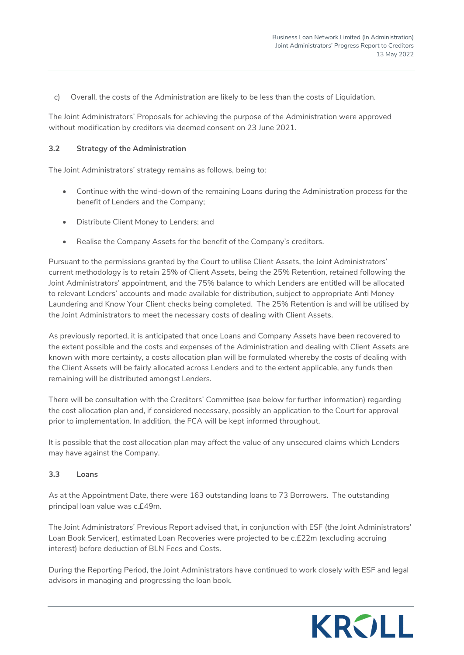c) Overall, the costs of the Administration are likely to be less than the costs of Liquidation.

The Joint Administrators' Proposals for achieving the purpose of the Administration were approved without modification by creditors via deemed consent on 23 June 2021.

## **3.2 Strategy of the Administration**

The Joint Administrators' strategy remains as follows, being to:

- Continue with the wind-down of the remaining Loans during the Administration process for the benefit of Lenders and the Company;
- Distribute Client Money to Lenders; and
- Realise the Company Assets for the benefit of the Company's creditors.

Pursuant to the permissions granted by the Court to utilise Client Assets, the Joint Administrators' current methodology is to retain 25% of Client Assets, being the 25% Retention, retained following the Joint Administrators' appointment, and the 75% balance to which Lenders are entitled will be allocated to relevant Lenders' accounts and made available for distribution, subject to appropriate Anti Money Laundering and Know Your Client checks being completed. The 25% Retention is and will be utilised by the Joint Administrators to meet the necessary costs of dealing with Client Assets.

As previously reported, it is anticipated that once Loans and Company Assets have been recovered to the extent possible and the costs and expenses of the Administration and dealing with Client Assets are known with more certainty, a costs allocation plan will be formulated whereby the costs of dealing with the Client Assets will be fairly allocated across Lenders and to the extent applicable, any funds then remaining will be distributed amongst Lenders.

There will be consultation with the Creditors' Committee (see below for further information) regarding the cost allocation plan and, if considered necessary, possibly an application to the Court for approval prior to implementation. In addition, the FCA will be kept informed throughout.

It is possible that the cost allocation plan may affect the value of any unsecured claims which Lenders may have against the Company.

#### **3.3 Loans**

As at the Appointment Date, there were 163 outstanding loans to 73 Borrowers. The outstanding principal loan value was c.£49m.

The Joint Administrators' Previous Report advised that, in conjunction with ESF (the Joint Administrators' Loan Book Servicer), estimated Loan Recoveries were projected to be c.£22m (excluding accruing interest) before deduction of BLN Fees and Costs.

During the Reporting Period, the Joint Administrators have continued to work closely with ESF and legal advisors in managing and progressing the loan book.

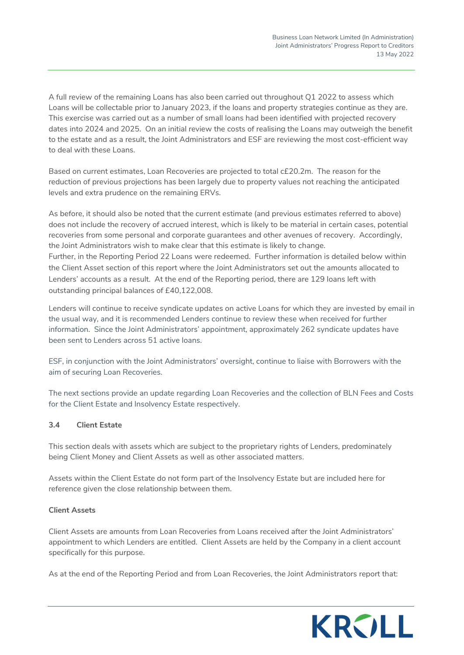A full review of the remaining Loans has also been carried out throughout Q1 2022 to assess which Loans will be collectable prior to January 2023, if the loans and property strategies continue as they are. This exercise was carried out as a number of small loans had been identified with projected recovery dates into 2024 and 2025. On an initial review the costs of realising the Loans may outweigh the benefit to the estate and as a result, the Joint Administrators and ESF are reviewing the most cost-efficient way to deal with these Loans.

Based on current estimates, Loan Recoveries are projected to total c£20.2m. The reason for the reduction of previous projections has been largely due to property values not reaching the anticipated levels and extra prudence on the remaining ERVs.

As before, it should also be noted that the current estimate (and previous estimates referred to above) does not include the recovery of accrued interest, which is likely to be material in certain cases, potential recoveries from some personal and corporate guarantees and other avenues of recovery. Accordingly, the Joint Administrators wish to make clear that this estimate is likely to change. Further, in the Reporting Period 22 Loans were redeemed. Further information is detailed below within the Client Asset section of this report where the Joint Administrators set out the amounts allocated to Lenders' accounts as a result. At the end of the Reporting period, there are 129 loans left with outstanding principal balances of £40,122,008.

Lenders will continue to receive syndicate updates on active Loans for which they are invested by email in the usual way, and it is recommended Lenders continue to review these when received for further information. Since the Joint Administrators' appointment, approximately 262 syndicate updates have been sent to Lenders across 51 active loans.

ESF, in conjunction with the Joint Administrators' oversight, continue to liaise with Borrowers with the aim of securing Loan Recoveries.

The next sections provide an update regarding Loan Recoveries and the collection of BLN Fees and Costs for the Client Estate and Insolvency Estate respectively.

# **3.4 Client Estate**

This section deals with assets which are subject to the proprietary rights of Lenders, predominately being Client Money and Client Assets as well as other associated matters.

Assets within the Client Estate do not form part of the Insolvency Estate but are included here for reference given the close relationship between them.

#### **Client Assets**

Client Assets are amounts from Loan Recoveries from Loans received after the Joint Administrators' appointment to which Lenders are entitled. Client Assets are held by the Company in a client account specifically for this purpose.

As at the end of the Reporting Period and from Loan Recoveries, the Joint Administrators report that:

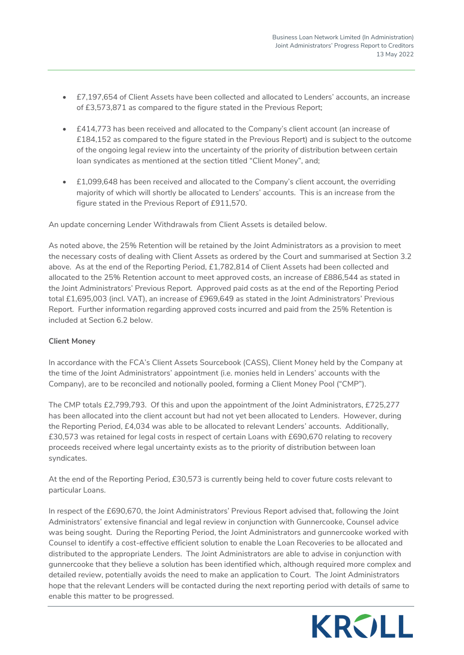- £7,197,654 of Client Assets have been collected and allocated to Lenders' accounts, an increase of £3,573,871 as compared to the figure stated in the Previous Report;
- £414,773 has been received and allocated to the Company's client account (an increase of £184,152 as compared to the figure stated in the Previous Report) and is subject to the outcome of the ongoing legal review into the uncertainty of the priority of distribution between certain loan syndicates as mentioned at the section titled "Client Money", and;
- £1,099,648 has been received and allocated to the Company's client account, the overriding majority of which will shortly be allocated to Lenders' accounts. This is an increase from the figure stated in the Previous Report of £911,570.

An update concerning Lender Withdrawals from Client Assets is detailed below.

As noted above, the 25% Retention will be retained by the Joint Administrators as a provision to meet the necessary costs of dealing with Client Assets as ordered by the Court and summarised at Section 3.2 above. As at the end of the Reporting Period, £1,782,814 of Client Assets had been collected and allocated to the 25% Retention account to meet approved costs, an increase of £886,544 as stated in the Joint Administrators' Previous Report. Approved paid costs as at the end of the Reporting Period total £1,695,003 (incl. VAT), an increase of £969,649 as stated in the Joint Administrators' Previous Report. Further information regarding approved costs incurred and paid from the 25% Retention is included at Section 6.2 below.

#### **Client Money**

In accordance with the FCA's Client Assets Sourcebook (CASS), Client Money held by the Company at the time of the Joint Administrators' appointment (i.e. monies held in Lenders' accounts with the Company), are to be reconciled and notionally pooled, forming a Client Money Pool ("CMP").

The CMP totals £2,799,793. Of this and upon the appointment of the Joint Administrators, £725,277 has been allocated into the client account but had not yet been allocated to Lenders. However, during the Reporting Period, £4,034 was able to be allocated to relevant Lenders' accounts. Additionally, £30,573 was retained for legal costs in respect of certain Loans with £690,670 relating to recovery proceeds received where legal uncertainty exists as to the priority of distribution between loan syndicates.

At the end of the Reporting Period, £30,573 is currently being held to cover future costs relevant to particular Loans.

In respect of the £690,670, the Joint Administrators' Previous Report advised that, following the Joint Administrators' extensive financial and legal review in conjunction with Gunnercooke, Counsel advice was being sought. During the Reporting Period, the Joint Administrators and gunnercooke worked with Counsel to identify a cost-effective efficient solution to enable the Loan Recoveries to be allocated and distributed to the appropriate Lenders. The Joint Administrators are able to advise in conjunction with gunnercooke that they believe a solution has been identified which, although required more complex and detailed review, potentially avoids the need to make an application to Court. The Joint Administrators hope that the relevant Lenders will be contacted during the next reporting period with details of same to enable this matter to be progressed.

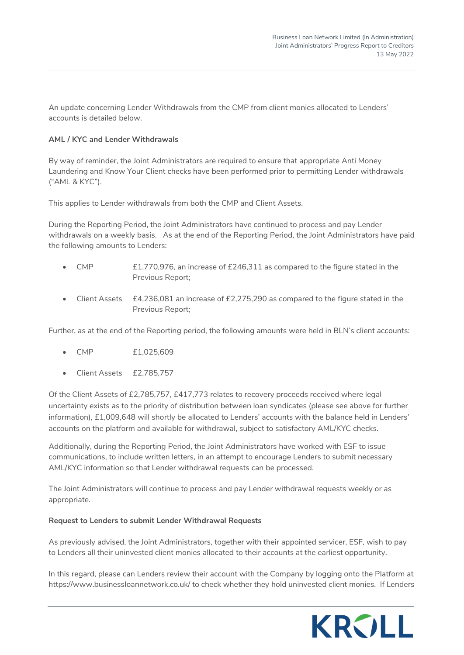An update concerning Lender Withdrawals from the CMP from client monies allocated to Lenders' accounts is detailed below.

# **AML / KYC and Lender Withdrawals**

By way of reminder, the Joint Administrators are required to ensure that appropriate Anti Money Laundering and Know Your Client checks have been performed prior to permitting Lender withdrawals ("AML & KYC").

This applies to Lender withdrawals from both the CMP and Client Assets.

During the Reporting Period, the Joint Administrators have continued to process and pay Lender withdrawals on a weekly basis. As at the end of the Reporting Period, the Joint Administrators have paid the following amounts to Lenders:

- CMP £1,770,976, an increase of £246,311 as compared to the figure stated in the Previous Report;
- Client Assets £4,236,081 an increase of £2,275,290 as compared to the figure stated in the Previous Report;

Further, as at the end of the Reporting period, the following amounts were held in BLN's client accounts:

- CMP £1,025,609
- Client Assets £2,785,757

Of the Client Assets of £2,785,757, £417,773 relates to recovery proceeds received where legal uncertainty exists as to the priority of distribution between loan syndicates (please see above for further information), £1,009,648 will shortly be allocated to Lenders' accounts with the balance held in Lenders' accounts on the platform and available for withdrawal, subject to satisfactory AML/KYC checks.

Additionally, during the Reporting Period, the Joint Administrators have worked with ESF to issue communications, to include written letters, in an attempt to encourage Lenders to submit necessary AML/KYC information so that Lender withdrawal requests can be processed.

The Joint Administrators will continue to process and pay Lender withdrawal requests weekly or as appropriate.

#### **Request to Lenders to submit Lender Withdrawal Requests**

As previously advised, the Joint Administrators, together with their appointed servicer, ESF, wish to pay to Lenders all their uninvested client monies allocated to their accounts at the earliest opportunity.

In this regard, please can Lenders review their account with the Company by logging onto the Platform at <https://www.businessloannetwork.co.uk/>to check whether they hold uninvested client monies. If Lenders

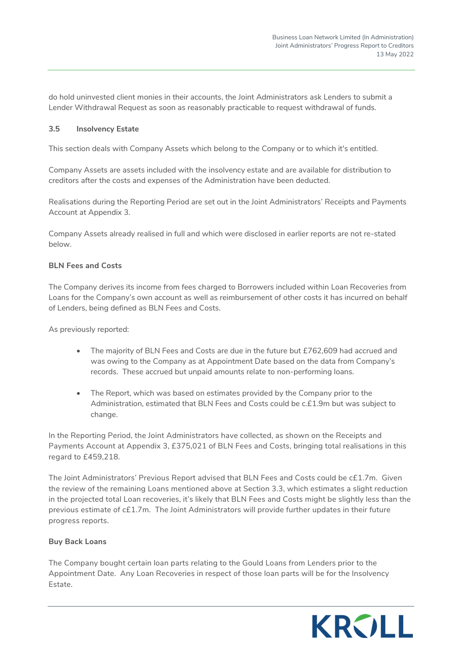do hold uninvested client monies in their accounts, the Joint Administrators ask Lenders to submit a Lender Withdrawal Request as soon as reasonably practicable to request withdrawal of funds.

## **3.5 Insolvency Estate**

This section deals with Company Assets which belong to the Company or to which it's entitled.

Company Assets are assets included with the insolvency estate and are available for distribution to creditors after the costs and expenses of the Administration have been deducted.

Realisations during the Reporting Period are set out in the Joint Administrators' Receipts and Payments Account at Appendix 3.

Company Assets already realised in full and which were disclosed in earlier reports are not re-stated below.

# **BLN Fees and Costs**

The Company derives its income from fees charged to Borrowers included within Loan Recoveries from Loans for the Company's own account as well as reimbursement of other costs it has incurred on behalf of Lenders, being defined as BLN Fees and Costs.

As previously reported:

- The majority of BLN Fees and Costs are due in the future but £762,609 had accrued and was owing to the Company as at Appointment Date based on the data from Company's records. These accrued but unpaid amounts relate to non-performing loans.
- The Report, which was based on estimates provided by the Company prior to the Administration, estimated that BLN Fees and Costs could be c.£1.9m but was subject to change.

In the Reporting Period, the Joint Administrators have collected, as shown on the Receipts and Payments Account at Appendix 3, £375,021 of BLN Fees and Costs, bringing total realisations in this regard to £459,218.

The Joint Administrators' Previous Report advised that BLN Fees and Costs could be c£1.7m. Given the review of the remaining Loans mentioned above at Section 3.3, which estimates a slight reduction in the projected total Loan recoveries, it's likely that BLN Fees and Costs might be slightly less than the previous estimate of c£1.7m. The Joint Administrators will provide further updates in their future progress reports.

# **Buy Back Loans**

The Company bought certain loan parts relating to the Gould Loans from Lenders prior to the Appointment Date. Any Loan Recoveries in respect of those loan parts will be for the Insolvency Estate.

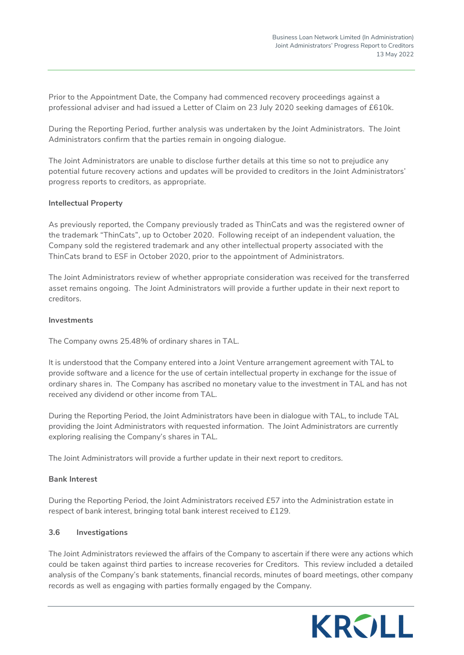Prior to the Appointment Date, the Company had commenced recovery proceedings against a professional adviser and had issued a Letter of Claim on 23 July 2020 seeking damages of £610k.

During the Reporting Period, further analysis was undertaken by the Joint Administrators. The Joint Administrators confirm that the parties remain in ongoing dialogue.

The Joint Administrators are unable to disclose further details at this time so not to prejudice any potential future recovery actions and updates will be provided to creditors in the Joint Administrators' progress reports to creditors, as appropriate.

#### **Intellectual Property**

As previously reported, the Company previously traded as ThinCats and was the registered owner of the trademark "ThinCats", up to October 2020. Following receipt of an independent valuation, the Company sold the registered trademark and any other intellectual property associated with the ThinCats brand to ESF in October 2020, prior to the appointment of Administrators.

The Joint Administrators review of whether appropriate consideration was received for the transferred asset remains ongoing. The Joint Administrators will provide a further update in their next report to creditors.

#### **Investments**

The Company owns 25.48% of ordinary shares in TAL.

It is understood that the Company entered into a Joint Venture arrangement agreement with TAL to provide software and a licence for the use of certain intellectual property in exchange for the issue of ordinary shares in. The Company has ascribed no monetary value to the investment in TAL and has not received any dividend or other income from TAL.

During the Reporting Period, the Joint Administrators have been in dialogue with TAL, to include TAL providing the Joint Administrators with requested information. The Joint Administrators are currently exploring realising the Company's shares in TAL.

The Joint Administrators will provide a further update in their next report to creditors.

#### **Bank Interest**

During the Reporting Period, the Joint Administrators received £57 into the Administration estate in respect of bank interest, bringing total bank interest received to £129.

#### **3.6 Investigations**

The Joint Administrators reviewed the affairs of the Company to ascertain if there were any actions which could be taken against third parties to increase recoveries for Creditors. This review included a detailed analysis of the Company's bank statements, financial records, minutes of board meetings, other company records as well as engaging with parties formally engaged by the Company.

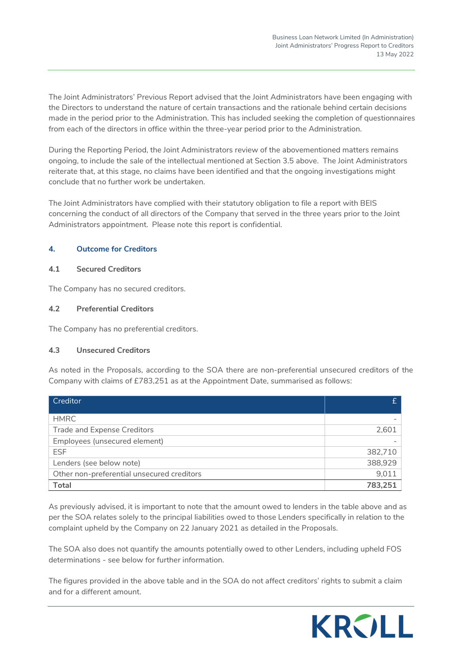The Joint Administrators' Previous Report advised that the Joint Administrators have been engaging with the Directors to understand the nature of certain transactions and the rationale behind certain decisions made in the period prior to the Administration. This has included seeking the completion of questionnaires from each of the directors in office within the three-year period prior to the Administration.

During the Reporting Period, the Joint Administrators review of the abovementioned matters remains ongoing, to include the sale of the intellectual mentioned at Section 3.5 above. The Joint Administrators reiterate that, at this stage, no claims have been identified and that the ongoing investigations might conclude that no further work be undertaken.

The Joint Administrators have complied with their statutory obligation to file a report with BEIS concerning the conduct of all directors of the Company that served in the three years prior to the Joint Administrators appointment. Please note this report is confidential.

# **4. Outcome for Creditors**

# **4.1 Secured Creditors**

The Company has no secured creditors.

# **4.2 Preferential Creditors**

The Company has no preferential creditors.

# **4.3 Unsecured Creditors**

As noted in the Proposals, according to the SOA there are non-preferential unsecured creditors of the Company with claims of £783,251 as at the Appointment Date, summarised as follows:

| Creditor                                   |         |
|--------------------------------------------|---------|
|                                            |         |
| <b>HMRC</b>                                |         |
| <b>Trade and Expense Creditors</b>         | 2.601   |
| Employees (unsecured element)              |         |
| <b>ESF</b>                                 | 382,710 |
| Lenders (see below note)                   | 388,929 |
| Other non-preferential unsecured creditors | 9,011   |
| <b>Total</b>                               | 783.251 |

As previously advised, it is important to note that the amount owed to lenders in the table above and as per the SOA relates solely to the principal liabilities owed to those Lenders specifically in relation to the complaint upheld by the Company on 22 January 2021 as detailed in the Proposals.

The SOA also does not quantify the amounts potentially owed to other Lenders, including upheld FOS determinations - see below for further information.

The figures provided in the above table and in the SOA do not affect creditors' rights to submit a claim and for a different amount.

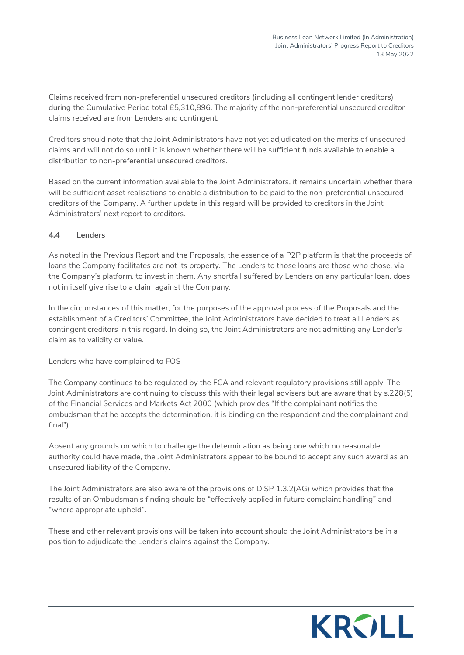Claims received from non-preferential unsecured creditors (including all contingent lender creditors) during the Cumulative Period total £5,310,896. The majority of the non-preferential unsecured creditor claims received are from Lenders and contingent.

Creditors should note that the Joint Administrators have not yet adjudicated on the merits of unsecured claims and will not do so until it is known whether there will be sufficient funds available to enable a distribution to non-preferential unsecured creditors.

Based on the current information available to the Joint Administrators, it remains uncertain whether there will be sufficient asset realisations to enable a distribution to be paid to the non-preferential unsecured creditors of the Company. A further update in this regard will be provided to creditors in the Joint Administrators' next report to creditors.

# **4.4 Lenders**

As noted in the Previous Report and the Proposals, the essence of a P2P platform is that the proceeds of loans the Company facilitates are not its property. The Lenders to those loans are those who chose, via the Company's platform, to invest in them. Any shortfall suffered by Lenders on any particular loan, does not in itself give rise to a claim against the Company.

In the circumstances of this matter, for the purposes of the approval process of the Proposals and the establishment of a Creditors' Committee, the Joint Administrators have decided to treat all Lenders as contingent creditors in this regard. In doing so, the Joint Administrators are not admitting any Lender's claim as to validity or value.

#### Lenders who have complained to FOS

The Company continues to be regulated by the FCA and relevant regulatory provisions still apply. The Joint Administrators are continuing to discuss this with their legal advisers but are aware that by s.228(5) of the Financial Services and Markets Act 2000 (which provides "If the complainant notifies the ombudsman that he accepts the determination, it is binding on the respondent and the complainant and final").

Absent any grounds on which to challenge the determination as being one which no reasonable authority could have made, the Joint Administrators appear to be bound to accept any such award as an unsecured liability of the Company.

The Joint Administrators are also aware of the provisions of DISP 1.3.2(AG) which provides that the results of an Ombudsman's finding should be "effectively applied in future complaint handling" and "where appropriate upheld".

These and other relevant provisions will be taken into account should the Joint Administrators be in a position to adjudicate the Lender's claims against the Company.

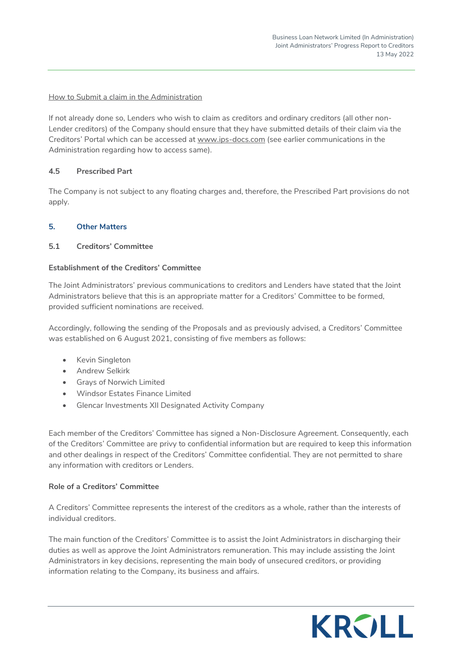# How to Submit a claim in the Administration

If not already done so, Lenders who wish to claim as creditors and ordinary creditors (all other non-Lender creditors) of the Company should ensure that they have submitted details of their claim via the Creditors' Portal which can be accessed at www.ips-docs.com (see earlier communications in the Administration regarding how to access same).

# **4.5 Prescribed Part**

The Company is not subject to any floating charges and, therefore, the Prescribed Part provisions do not apply.

# **5. Other Matters**

# **5.1 Creditors' Committee**

# **Establishment of the Creditors' Committee**

The Joint Administrators' previous communications to creditors and Lenders have stated that the Joint Administrators believe that this is an appropriate matter for a Creditors' Committee to be formed, provided sufficient nominations are received.

Accordingly, following the sending of the Proposals and as previously advised, a Creditors' Committee was established on 6 August 2021, consisting of five members as follows:

- Kevin Singleton
- **•** Andrew Selkirk
- Grays of Norwich Limited
- Windsor Estates Finance Limited
- Glencar Investments XII Designated Activity Company

Each member of the Creditors' Committee has signed a Non-Disclosure Agreement. Consequently, each of the Creditors' Committee are privy to confidential information but are required to keep this information and other dealings in respect of the Creditors' Committee confidential. They are not permitted to share any information with creditors or Lenders.

#### **Role of a Creditors' Committee**

A Creditors' Committee represents the interest of the creditors as a whole, rather than the interests of individual creditors.

The main function of the Creditors' Committee is to assist the Joint Administrators in discharging their duties as well as approve the Joint Administrators remuneration. This may include assisting the Joint Administrators in key decisions, representing the main body of unsecured creditors, or providing information relating to the Company, its business and affairs.

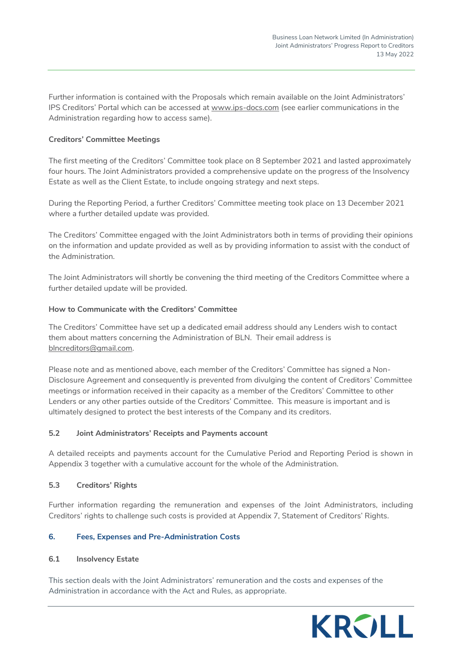Further information is contained with the Proposals which remain available on the Joint Administrators' IPS Creditors' Portal which can be accessed at [www.ips-docs.com](http://www.ips-docs.com/) (see earlier communications in the Administration regarding how to access same).

# **Creditors' Committee Meetings**

The first meeting of the Creditors' Committee took place on 8 September 2021 and lasted approximately four hours. The Joint Administrators provided a comprehensive update on the progress of the Insolvency Estate as well as the Client Estate, to include ongoing strategy and next steps.

During the Reporting Period, a further Creditors' Committee meeting took place on 13 December 2021 where a further detailed update was provided.

The Creditors' Committee engaged with the Joint Administrators both in terms of providing their opinions on the information and update provided as well as by providing information to assist with the conduct of the Administration.

The Joint Administrators will shortly be convening the third meeting of the Creditors Committee where a further detailed update will be provided.

#### **How to Communicate with the Creditors' Committee**

The Creditors' Committee have set up a dedicated email address should any Lenders wish to contact them about matters concerning the Administration of BLN. Their email address is [blncreditors@gmail.com.](mailto:blncreditors@gmail.com)

Please note and as mentioned above, each member of the Creditors' Committee has signed a Non-Disclosure Agreement and consequently is prevented from divulging the content of Creditors' Committee meetings or information received in their capacity as a member of the Creditors' Committee to other Lenders or any other parties outside of the Creditors' Committee. This measure is important and is ultimately designed to protect the best interests of the Company and its creditors.

#### **5.2 Joint Administrators' Receipts and Payments account**

A detailed receipts and payments account for the Cumulative Period and Reporting Period is shown in Appendix 3 together with a cumulative account for the whole of the Administration.

#### **5.3 Creditors' Rights**

Further information regarding the remuneration and expenses of the Joint Administrators, including Creditors' rights to challenge such costs is provided at Appendix 7, Statement of Creditors' Rights.

# **6. Fees, Expenses and Pre-Administration Costs**

#### **6.1 Insolvency Estate**

This section deals with the Joint Administrators' remuneration and the costs and expenses of the Administration in accordance with the Act and Rules, as appropriate.

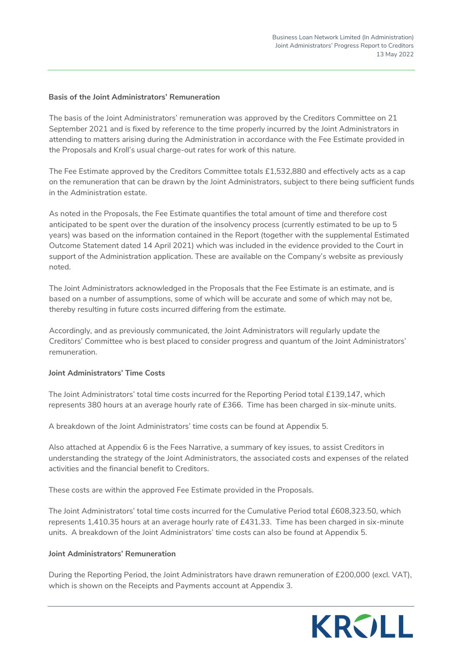## **Basis of the Joint Administrators' Remuneration**

The basis of the Joint Administrators' remuneration was approved by the Creditors Committee on 21 September 2021 and is fixed by reference to the time properly incurred by the Joint Administrators in attending to matters arising during the Administration in accordance with the Fee Estimate provided in the Proposals and Kroll's usual charge-out rates for work of this nature.

The Fee Estimate approved by the Creditors Committee totals £1,532,880 and effectively acts as a cap on the remuneration that can be drawn by the Joint Administrators, subject to there being sufficient funds in the Administration estate.

As noted in the Proposals, the Fee Estimate quantifies the total amount of time and therefore cost anticipated to be spent over the duration of the insolvency process (currently estimated to be up to 5 years) was based on the information contained in the Report (together with the supplemental Estimated Outcome Statement dated 14 April 2021) which was included in the evidence provided to the Court in support of the Administration application. These are available on the Company's website as previously noted.

The Joint Administrators acknowledged in the Proposals that the Fee Estimate is an estimate, and is based on a number of assumptions, some of which will be accurate and some of which may not be, thereby resulting in future costs incurred differing from the estimate.

Accordingly, and as previously communicated, the Joint Administrators will regularly update the Creditors' Committee who is best placed to consider progress and quantum of the Joint Administrators' remuneration.

#### **Joint Administrators' Time Costs**

The Joint Administrators' total time costs incurred for the Reporting Period total £139,147, which represents 380 hours at an average hourly rate of £366. Time has been charged in six-minute units.

A breakdown of the Joint Administrators' time costs can be found at Appendix 5.

Also attached at Appendix 6 is the Fees Narrative, a summary of key issues, to assist Creditors in understanding the strategy of the Joint Administrators, the associated costs and expenses of the related activities and the financial benefit to Creditors.

These costs are within the approved Fee Estimate provided in the Proposals.

The Joint Administrators' total time costs incurred for the Cumulative Period total £608,323.50, which represents 1,410.35 hours at an average hourly rate of £431.33. Time has been charged in six-minute units. A breakdown of the Joint Administrators' time costs can also be found at Appendix 5.

#### **Joint Administrators' Remuneration**

During the Reporting Period, the Joint Administrators have drawn remuneration of £200,000 (excl. VAT), which is shown on the Receipts and Payments account at Appendix 3.

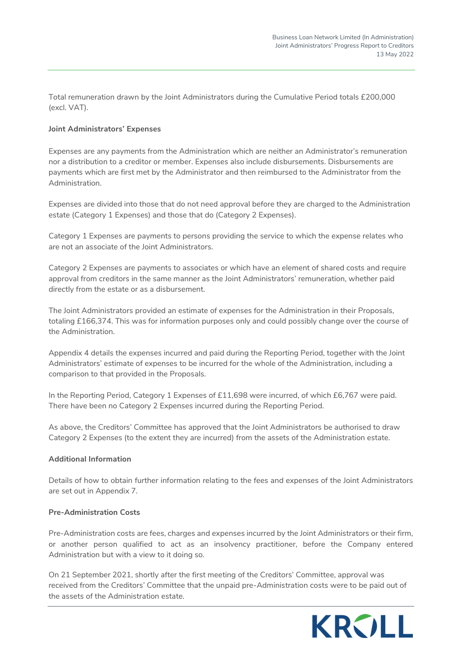Total remuneration drawn by the Joint Administrators during the Cumulative Period totals £200,000 (excl. VAT).

#### **Joint Administrators' Expenses**

Expenses are any payments from the Administration which are neither an Administrator's remuneration nor a distribution to a creditor or member. Expenses also include disbursements. Disbursements are payments which are first met by the Administrator and then reimbursed to the Administrator from the Administration.

Expenses are divided into those that do not need approval before they are charged to the Administration estate (Category 1 Expenses) and those that do (Category 2 Expenses).

Category 1 Expenses are payments to persons providing the service to which the expense relates who are not an associate of the Joint Administrators.

Category 2 Expenses are payments to associates or which have an element of shared costs and require approval from creditors in the same manner as the Joint Administrators' remuneration, whether paid directly from the estate or as a disbursement.

The Joint Administrators provided an estimate of expenses for the Administration in their Proposals, totaling £166,374. This was for information purposes only and could possibly change over the course of the Administration.

Appendix 4 details the expenses incurred and paid during the Reporting Period, together with the Joint Administrators' estimate of expenses to be incurred for the whole of the Administration, including a comparison to that provided in the Proposals.

In the Reporting Period, Category 1 Expenses of £11,698 were incurred, of which £6,767 were paid. There have been no Category 2 Expenses incurred during the Reporting Period.

As above, the Creditors' Committee has approved that the Joint Administrators be authorised to draw Category 2 Expenses (to the extent they are incurred) from the assets of the Administration estate.

#### **Additional Information**

Details of how to obtain further information relating to the fees and expenses of the Joint Administrators are set out in Appendix 7.

#### **Pre-Administration Costs**

Pre-Administration costs are fees, charges and expenses incurred by the Joint Administrators or their firm, or another person qualified to act as an insolvency practitioner, before the Company entered Administration but with a view to it doing so.

On 21 September 2021, shortly after the first meeting of the Creditors' Committee, approval was received from the Creditors' Committee that the unpaid pre-Administration costs were to be paid out of the assets of the Administration estate.

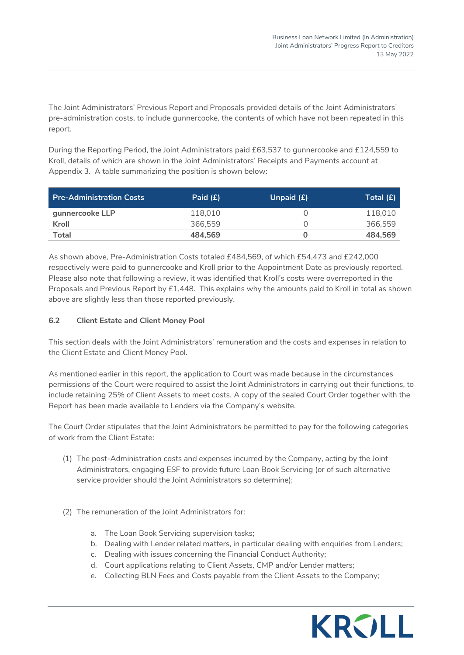The Joint Administrators' Previous Report and Proposals provided details of the Joint Administrators' pre-administration costs, to include gunnercooke, the contents of which have not been repeated in this report.

During the Reporting Period, the Joint Administrators paid £63,537 to gunnercooke and £124,559 to Kroll, details of which are shown in the Joint Administrators' Receipts and Payments account at Appendix 3. A table summarizing the position is shown below:

| <b>Pre-Administration Costs</b> | Paid $(E)$ | Unpaid (£) | Total $(E)$ |
|---------------------------------|------------|------------|-------------|
| gunnercooke LLP                 | 118.010    |            | 118.010     |
| Kroll                           | 366.559    |            | 366.559     |
| <b>Total</b>                    | 484.569    |            | 484.569     |

As shown above, Pre-Administration Costs totaled £484,569, of which £54,473 and £242,000 respectively were paid to gunnercooke and Kroll prior to the Appointment Date as previously reported. Please also note that following a review, it was identified that Kroll's costs were overreported in the Proposals and Previous Report by £1,448. This explains why the amounts paid to Kroll in total as shown above are slightly less than those reported previously.

# **6.2 Client Estate and Client Money Pool**

This section deals with the Joint Administrators' remuneration and the costs and expenses in relation to the Client Estate and Client Money Pool.

As mentioned earlier in this report, the application to Court was made because in the circumstances permissions of the Court were required to assist the Joint Administrators in carrying out their functions, to include retaining 25% of Client Assets to meet costs. A copy of the sealed Court Order together with the Report has been made available to Lenders via the Company's website.

The Court Order stipulates that the Joint Administrators be permitted to pay for the following categories of work from the Client Estate:

- (1) The post-Administration costs and expenses incurred by the Company, acting by the Joint Administrators, engaging ESF to provide future Loan Book Servicing (or of such alternative service provider should the Joint Administrators so determine);
- (2) The remuneration of the Joint Administrators for:
	- a. The Loan Book Servicing supervision tasks;
	- b. Dealing with Lender related matters, in particular dealing with enquiries from Lenders;
	- c. Dealing with issues concerning the Financial Conduct Authority;
	- d. Court applications relating to Client Assets, CMP and/or Lender matters;
	- e. Collecting BLN Fees and Costs payable from the Client Assets to the Company;

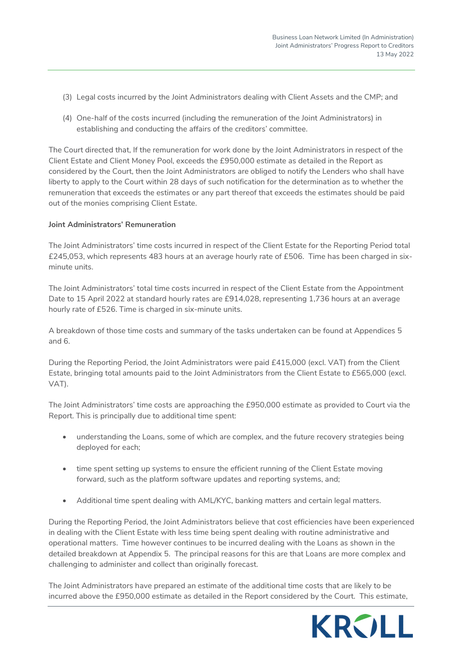- (3) Legal costs incurred by the Joint Administrators dealing with Client Assets and the CMP; and
- (4) One-half of the costs incurred (including the remuneration of the Joint Administrators) in establishing and conducting the affairs of the creditors' committee.

The Court directed that, If the remuneration for work done by the Joint Administrators in respect of the Client Estate and Client Money Pool, exceeds the £950,000 estimate as detailed in the Report as considered by the Court, then the Joint Administrators are obliged to notify the Lenders who shall have liberty to apply to the Court within 28 days of such notification for the determination as to whether the remuneration that exceeds the estimates or any part thereof that exceeds the estimates should be paid out of the monies comprising Client Estate.

#### **Joint Administrators' Remuneration**

The Joint Administrators' time costs incurred in respect of the Client Estate for the Reporting Period total £245,053, which represents 483 hours at an average hourly rate of £506. Time has been charged in sixminute units.

The Joint Administrators' total time costs incurred in respect of the Client Estate from the Appointment Date to 15 April 2022 at standard hourly rates are £914,028, representing 1,736 hours at an average hourly rate of £526. Time is charged in six-minute units.

A breakdown of those time costs and summary of the tasks undertaken can be found at Appendices 5 and 6.

During the Reporting Period, the Joint Administrators were paid £415,000 (excl. VAT) from the Client Estate, bringing total amounts paid to the Joint Administrators from the Client Estate to £565,000 (excl. VAT).

The Joint Administrators' time costs are approaching the £950,000 estimate as provided to Court via the Report. This is principally due to additional time spent:

- understanding the Loans, some of which are complex, and the future recovery strategies being deployed for each;
- time spent setting up systems to ensure the efficient running of the Client Estate moving forward, such as the platform software updates and reporting systems, and;
- Additional time spent dealing with AML/KYC, banking matters and certain legal matters.

During the Reporting Period, the Joint Administrators believe that cost efficiencies have been experienced in dealing with the Client Estate with less time being spent dealing with routine administrative and operational matters. Time however continues to be incurred dealing with the Loans as shown in the detailed breakdown at Appendix 5. The principal reasons for this are that Loans are more complex and challenging to administer and collect than originally forecast.

The Joint Administrators have prepared an estimate of the additional time costs that are likely to be incurred above the £950,000 estimate as detailed in the Report considered by the Court. This estimate,

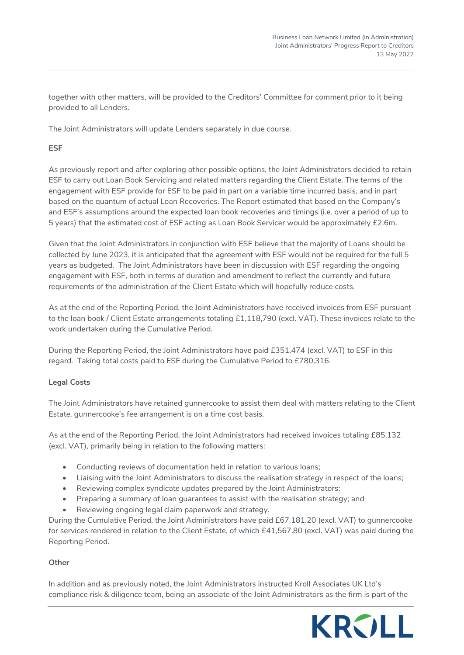together with other matters, will be provided to the Creditors' Committee for comment prior to it being provided to all Lenders.

The Joint Administrators will update Lenders separately in due course.

# **ESF**

As previously report and after exploring other possible options, the Joint Administrators decided to retain ESF to carry out Loan Book Servicing and related matters regarding the Client Estate. The terms of the engagement with ESF provide for ESF to be paid in part on a variable time incurred basis, and in part based on the quantum of actual Loan Recoveries. The Report estimated that based on the Company's and ESF's assumptions around the expected loan book recoveries and timings (i.e. over a period of up to 5 years) that the estimated cost of ESF acting as Loan Book Servicer would be approximately £2.6m.

Given that the Joint Administrators in conjunction with ESF believe that the majority of Loans should be collected by June 2023, it is anticipated that the agreement with ESF would not be required for the full 5 years as budgeted. The Joint Administrators have been in discussion with ESF regarding the ongoing engagement with ESF, both in terms of duration and amendment to reflect the currently and future requirements of the administration of the Client Estate which will hopefully reduce costs.

As at the end of the Reporting Period, the Joint Administrators have received invoices from ESF pursuant to the loan book / Client Estate arrangements totaling £1,118,790 (excl. VAT). These invoices relate to the work undertaken during the Cumulative Period.

During the Reporting Period, the Joint Administrators have paid £351,474 (excl. VAT) to ESF in this regard. Taking total costs paid to ESF during the Cumulative Period to £780,316.

# **Legal Costs**

The Joint Administrators have retained gunnercooke to assist them deal with matters relating to the Client Estate. gunnercooke's fee arrangement is on a time cost basis.

As at the end of the Reporting Period, the Joint Administrators had received invoices totaling £85,132 (excl. VAT), primarily being in relation to the following matters:

- Conducting reviews of documentation held in relation to various loans;
- Liaising with the Joint Administrators to discuss the realisation strategy in respect of the loans;
- Reviewing complex syndicate updates prepared by the Joint Administrators;
- Preparing a summary of loan guarantees to assist with the realisation strategy; and
- Reviewing ongoing legal claim paperwork and strategy.

During the Cumulative Period, the Joint Administrators have paid £67,181.20 (excl. VAT) to gunnercooke for services rendered in relation to the Client Estate, of which £41,567.80 (excl. VAT) was paid during the Reporting Period.

#### **Other**

In addition and as previously noted, the Joint Administrators instructed Kroll Associates UK Ltd's compliance risk & diligence team, being an associate of the Joint Administrators as the firm is part of the

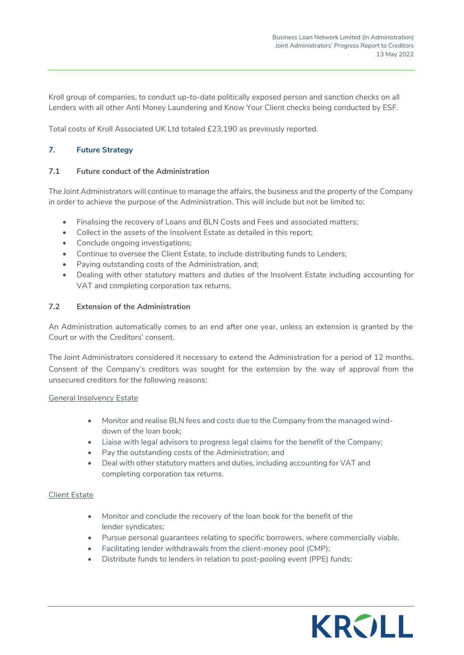Kroll group of companies, to conduct up-to-date politically exposed person and sanction checks on all Lenders with all other Anti Money Laundering and Know Your Client checks being conducted by ESF.

Total costs of Kroll Associated UK Ltd totaled £23,190 as previously reported.

# **7. Future Strategy**

# **7.1 Future conduct of the Administration**

The Joint Administrators will continue to manage the affairs, the business and the property of the Company in order to achieve the purpose of the Administration. This will include but not be limited to:

- Finalising the recovery of Loans and BLN Costs and Fees and associated matters;
- Collect in the assets of the Insolvent Estate as detailed in this report;
- Conclude ongoing investigations;
- Continue to oversee the Client Estate, to include distributing funds to Lenders;
- Paying outstanding costs of the Administration, and;
- Dealing with other statutory matters and duties of the Insolvent Estate including accounting for VAT and completing corporation tax returns.

# **7.2 Extension of the Administration**

An Administration automatically comes to an end after one year, unless an extension is granted by the Court or with the Creditors' consent.

The Joint Administrators considered it necessary to extend the Administration for a period of 12 months. Consent of the Company's creditors was sought for the extension by the way of approval from the unsecured creditors for the following reasons:

#### General Insolvency Estate

- Monitor and realise BLN fees and costs due to the Company from the managed winddown of the loan book;
- Liaise with legal advisors to progress legal claims for the benefit of the Company;
- Pay the outstanding costs of the Administration; and
- Deal with other statutory matters and duties, including accounting for VAT and completing corporation tax returns.

#### Client Estate

- Monitor and conclude the recovery of the loan book for the benefit of the lender syndicates;
- Pursue personal guarantees relating to specific borrowers, where commercially viable.
- Facilitating lender withdrawals from the client-money pool (CMP);
- Distribute funds to lenders in relation to post-pooling event (PPE) funds;

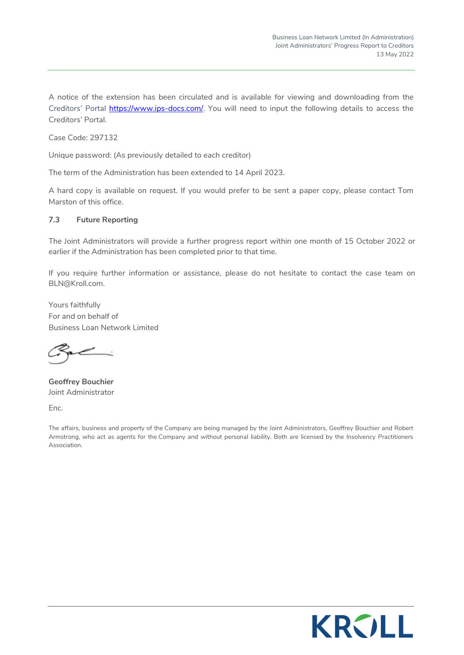A notice of the extension has been circulated and is available for viewing and downloading from the Creditors' Portal **https://www.ips-docs.com/**. You will need to input the following details to access the Creditors' Portal.

Case Code: 297132

Unique password: (As previously detailed to each creditor)

The term of the Administration has been extended to 14 April 2023.

A hard copy is available on request. If you would prefer to be sent a paper copy, please contact Tom Marston of this office.

## **7.3 Future Reporting**

The Joint Administrators will provide a further progress report within one month of 15 October 2022 or earlier if the Administration has been completed prior to that time.

If you require further information or assistance, please do not hesitate to contact the case team on [BLN@Kroll.com.](mailto:BLN@Kroll.com) 

Yours faithfully For and on behalf of Business Loan Network Limited

**Geoffrey Bouchier**  Joint Administrator

Enc.

The affairs, business and property of the Company are being managed by the Joint Administrators, Geoffrey Bouchier and Robert Armstrong, who act as agents for the Company and without personal liability. Both are licensed by the Insolvency Practitioners Association.

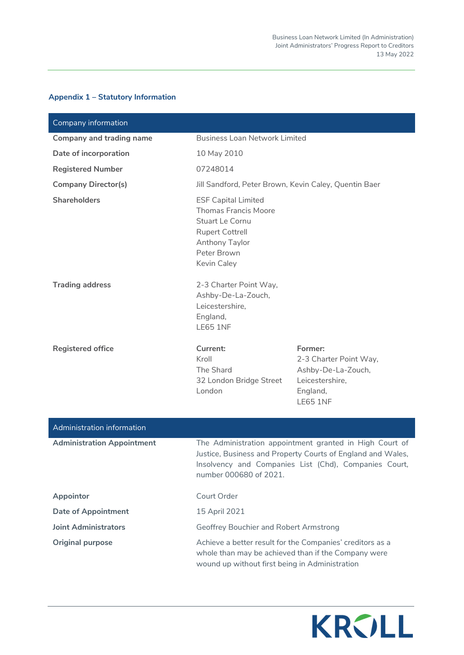| Company information               |                                                                                                                                                                                                           |                                                                                                           |  |  |  |  |
|-----------------------------------|-----------------------------------------------------------------------------------------------------------------------------------------------------------------------------------------------------------|-----------------------------------------------------------------------------------------------------------|--|--|--|--|
| Company and trading name          | <b>Business Loan Network Limited</b>                                                                                                                                                                      |                                                                                                           |  |  |  |  |
| Date of incorporation             | 10 May 2010                                                                                                                                                                                               |                                                                                                           |  |  |  |  |
| <b>Registered Number</b>          | 07248014                                                                                                                                                                                                  |                                                                                                           |  |  |  |  |
| <b>Company Director(s)</b>        | Jill Sandford, Peter Brown, Kevin Caley, Quentin Baer                                                                                                                                                     |                                                                                                           |  |  |  |  |
| <b>Shareholders</b>               | <b>ESF Capital Limited</b><br><b>Thomas Francis Moore</b><br>Stuart Le Cornu<br><b>Rupert Cottrell</b><br>Anthony Taylor<br>Peter Brown<br>Kevin Caley                                                    |                                                                                                           |  |  |  |  |
| <b>Trading address</b>            | 2-3 Charter Point Way,<br>Ashby-De-La-Zouch,<br>Leicestershire,<br>England,<br><b>LE65 1NF</b>                                                                                                            |                                                                                                           |  |  |  |  |
| <b>Registered office</b>          | Current:<br>Kroll<br>The Shard<br>32 London Bridge Street<br>London                                                                                                                                       | Former:<br>2-3 Charter Point Way,<br>Ashby-De-La-Zouch,<br>Leicestershire,<br>England,<br><b>LE65 1NF</b> |  |  |  |  |
| Administration information        |                                                                                                                                                                                                           |                                                                                                           |  |  |  |  |
| <b>Administration Appointment</b> | The Administration appointment granted in High Court of<br>Justice, Business and Property Courts of England and Wales,<br>Insolvency and Companies List (Chd), Companies Court,<br>number 000680 of 2021. |                                                                                                           |  |  |  |  |
| Appointor                         | Court Order                                                                                                                                                                                               |                                                                                                           |  |  |  |  |
| <b>Date of Appointment</b>        | 15 April 2021                                                                                                                                                                                             |                                                                                                           |  |  |  |  |

# **Appendix 1 – Statutory Information**

**Joint Administrators** Geoffrey Bouchier and Robert Armstrong **Original purpose** Achieve a better result for the Companies' creditors as a



whole than may be achieved than if the Company were

wound up without first being in Administration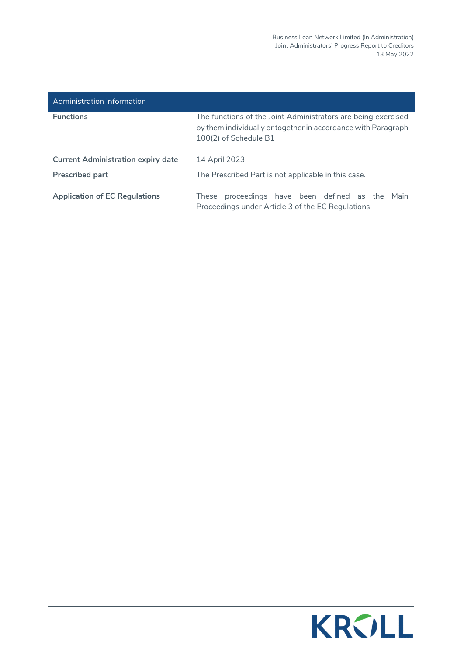| Administration information                |                                                                                                                                                         |
|-------------------------------------------|---------------------------------------------------------------------------------------------------------------------------------------------------------|
| <b>Functions</b>                          | The functions of the Joint Administrators are being exercised<br>by them individually or together in accordance with Paragraph<br>100(2) of Schedule B1 |
| <b>Current Administration expiry date</b> | 14 April 2023                                                                                                                                           |
| <b>Prescribed part</b>                    | The Prescribed Part is not applicable in this case.                                                                                                     |
| <b>Application of EC Regulations</b>      | proceedings have been defined as the Main<br>These<br>Proceedings under Article 3 of the EC Regulations                                                 |

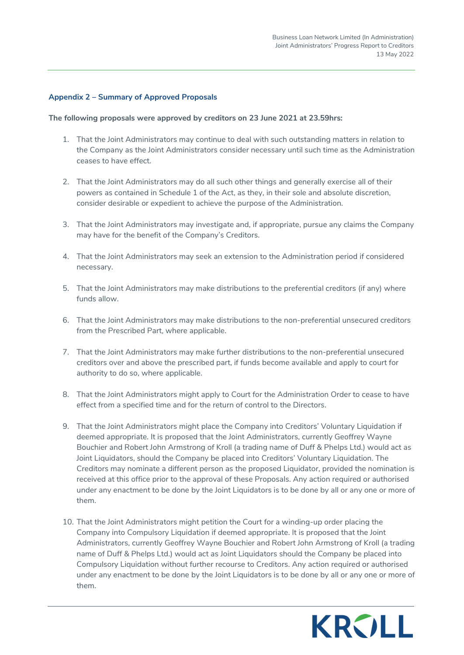#### **Appendix 2 – Summary of Approved Proposals**

#### **The following proposals were approved by creditors on 23 June 2021 at 23.59hrs:**

- 1. That the Joint Administrators may continue to deal with such outstanding matters in relation to the Company as the Joint Administrators consider necessary until such time as the Administration ceases to have effect.
- 2. That the Joint Administrators may do all such other things and generally exercise all of their powers as contained in Schedule 1 of the Act, as they, in their sole and absolute discretion, consider desirable or expedient to achieve the purpose of the Administration.
- 3. That the Joint Administrators may investigate and, if appropriate, pursue any claims the Company may have for the benefit of the Company's Creditors.
- 4. That the Joint Administrators may seek an extension to the Administration period if considered necessary.
- 5. That the Joint Administrators may make distributions to the preferential creditors (if any) where funds allow.
- 6. That the Joint Administrators may make distributions to the non-preferential unsecured creditors from the Prescribed Part, where applicable.
- 7. That the Joint Administrators may make further distributions to the non-preferential unsecured creditors over and above the prescribed part, if funds become available and apply to court for authority to do so, where applicable.
- 8. That the Joint Administrators might apply to Court for the Administration Order to cease to have effect from a specified time and for the return of control to the Directors.
- 9. That the Joint Administrators might place the Company into Creditors' Voluntary Liquidation if deemed appropriate. It is proposed that the Joint Administrators, currently Geoffrey Wayne Bouchier and Robert John Armstrong of Kroll (a trading name of Duff & Phelps Ltd.) would act as Joint Liquidators, should the Company be placed into Creditors' Voluntary Liquidation. The Creditors may nominate a different person as the proposed Liquidator, provided the nomination is received at this office prior to the approval of these Proposals. Any action required or authorised under any enactment to be done by the Joint Liquidators is to be done by all or any one or more of them.
- 10. That the Joint Administrators might petition the Court for a winding-up order placing the Company into Compulsory Liquidation if deemed appropriate. It is proposed that the Joint Administrators, currently Geoffrey Wayne Bouchier and Robert John Armstrong of Kroll (a trading name of Duff & Phelps Ltd.) would act as Joint Liquidators should the Company be placed into Compulsory Liquidation without further recourse to Creditors. Any action required or authorised under any enactment to be done by the Joint Liquidators is to be done by all or any one or more of them.

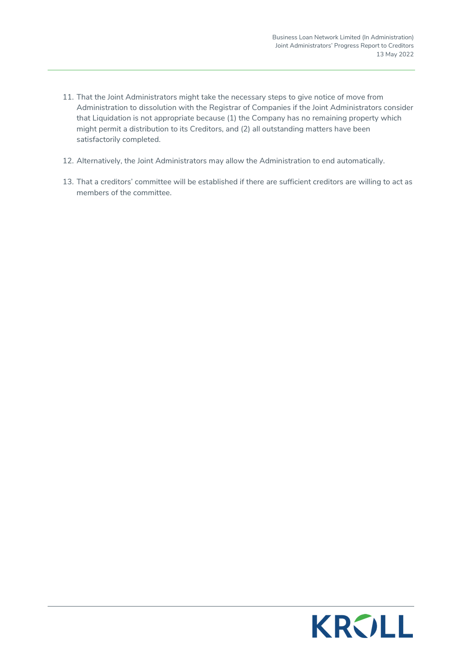- 11. That the Joint Administrators might take the necessary steps to give notice of move from Administration to dissolution with the Registrar of Companies if the Joint Administrators consider that Liquidation is not appropriate because (1) the Company has no remaining property which might permit a distribution to its Creditors, and (2) all outstanding matters have been satisfactorily completed.
- 12. Alternatively, the Joint Administrators may allow the Administration to end automatically.
- 13. That a creditors' committee will be established if there are sufficient creditors are willing to act as members of the committee.

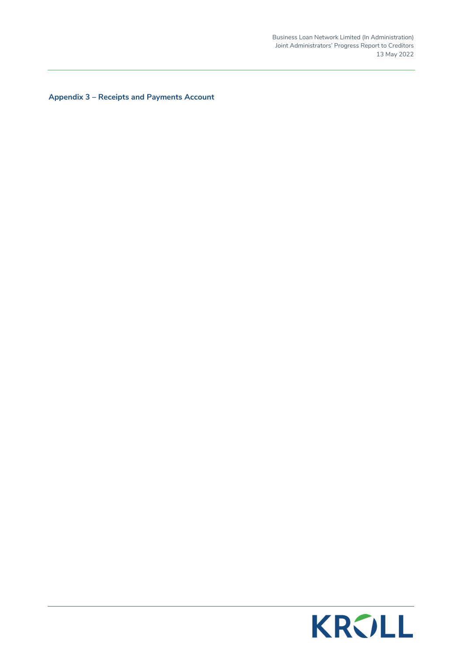Business Loan Network Limited (In Administration) Joint Administrators' Progress Report to Creditors 13 May 2022

**Appendix 3 – Receipts and Payments Account** 

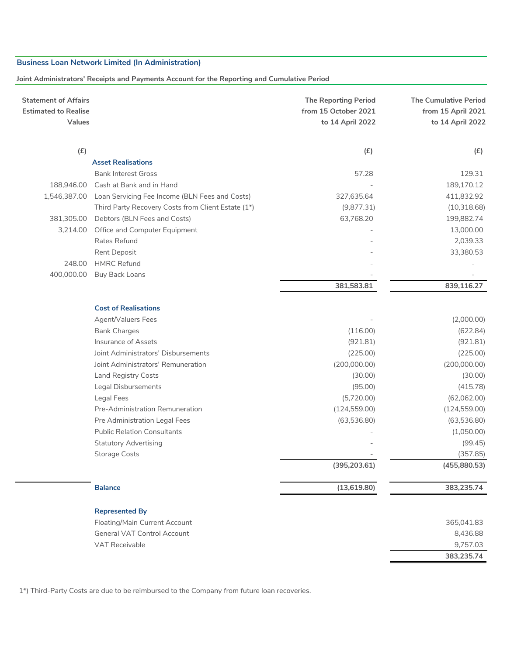#### **Joint Administrators' Receipts and Payments Account for the Reporting and Cumulative Period**

| from 15 October 2021<br><b>Estimated to Realise</b><br><b>Values</b><br>to 14 April 2022 | <b>The Cumulative Period</b><br>from 15 April 2021<br>to 14 April 2022 |
|------------------------------------------------------------------------------------------|------------------------------------------------------------------------|
| (E)<br>(E)                                                                               | (E)                                                                    |
| <b>Asset Realisations</b>                                                                |                                                                        |
| <b>Bank Interest Gross</b><br>57.28                                                      | 129.31                                                                 |
| Cash at Bank and in Hand<br>188,946.00                                                   | 189,170.12                                                             |
| 327,635.64<br>1,546,387.00<br>Loan Servicing Fee Income (BLN Fees and Costs)             | 411,832.92                                                             |
| Third Party Recovery Costs from Client Estate (1*)<br>(9,877.31)                         | (10,318.68)                                                            |
| 381,305.00<br>Debtors (BLN Fees and Costs)<br>63,768.20                                  | 199,882.74                                                             |
| Office and Computer Equipment<br>3,214.00                                                | 13,000.00                                                              |
| Rates Refund                                                                             | 2,039.33                                                               |
| Rent Deposit                                                                             | 33,380.53                                                              |
| <b>HMRC Refund</b><br>248.00                                                             |                                                                        |
| 400,000.00<br><b>Buy Back Loans</b>                                                      |                                                                        |
| 381,583.81                                                                               | 839,116.27                                                             |
| <b>Cost of Realisations</b>                                                              |                                                                        |
| Agent/Valuers Fees                                                                       | (2,000.00)                                                             |
| <b>Bank Charges</b><br>(116.00)                                                          | (622.84)                                                               |
| Insurance of Assets<br>(921.81)                                                          | (921.81)                                                               |
| Joint Administrators' Disbursements<br>(225.00)                                          | (225.00)                                                               |
| Joint Administrators' Remuneration<br>(200,000.00)                                       | (200,000.00)                                                           |
| Land Registry Costs<br>(30.00)                                                           | (30.00)                                                                |
| <b>Legal Disbursements</b><br>(95.00)                                                    | (415.78)                                                               |
| Legal Fees<br>(5,720.00)                                                                 | (62,062.00)                                                            |
| Pre-Administration Remuneration<br>(124, 559.00)                                         | (124, 559.00)                                                          |
| Pre Administration Legal Fees<br>(63,536.80)                                             | (63,536.80)                                                            |
| <b>Public Relation Consultants</b>                                                       | (1,050.00)                                                             |
| <b>Statutory Advertising</b>                                                             | (99.45)                                                                |
| <b>Storage Costs</b>                                                                     | (357.85)                                                               |
| (395, 203.61)                                                                            | (455,880.53)                                                           |
|                                                                                          |                                                                        |
| <b>Balance</b><br>(13, 619.80)                                                           | 383,235.74                                                             |
| <b>Represented By</b>                                                                    |                                                                        |
| Floating/Main Current Account                                                            | 365,041.83                                                             |
| <b>General VAT Control Account</b>                                                       | 8,436.88                                                               |
| <b>VAT Receivable</b>                                                                    | 9,757.03                                                               |
|                                                                                          | 383,235.74                                                             |

1\*) Third-Party Costs are due to be reimbursed to the Company from future loan recoveries.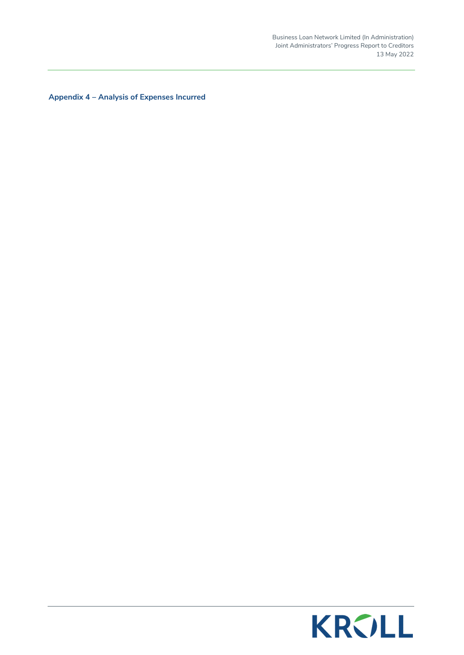Business Loan Network Limited (In Administration) Joint Administrators' Progress Report to Creditors 13 May 2022

**Appendix 4 – Analysis of Expenses Incurred** 

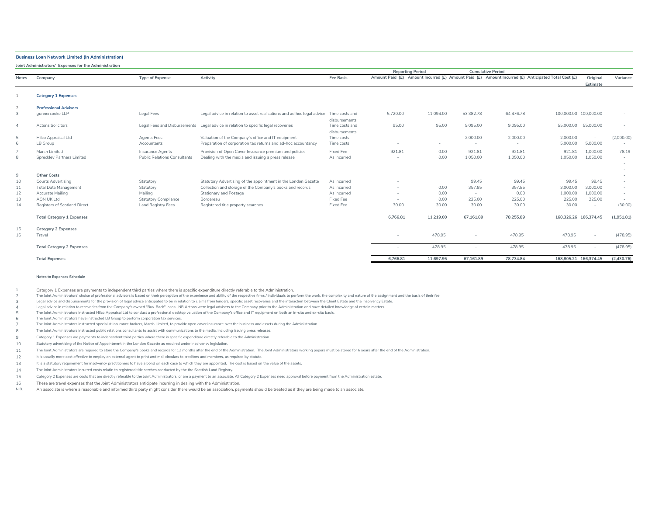**Joint Administrators' Expenses for the Administration**

|                |                                      |                                     |                                                                                       |                                 |          | <b>Reporting Period</b> |           | <b>Cumulative Period</b>                                                                           |                       |                          |            |
|----------------|--------------------------------------|-------------------------------------|---------------------------------------------------------------------------------------|---------------------------------|----------|-------------------------|-----------|----------------------------------------------------------------------------------------------------|-----------------------|--------------------------|------------|
| <b>Notes</b>   | Company                              | <b>Type of Expense</b>              | Activity                                                                              | <b>Fee Basis</b>                |          |                         |           | Amount Paid (£) Amount Incurred (£) Amount Paid (£) Amount Incurred (£) Anticipated Total Cost (£) |                       | Original<br>Estimate     | Variance   |
|                | <b>Category 1 Expenses</b>           |                                     |                                                                                       |                                 |          |                         |           |                                                                                                    |                       |                          |            |
|                |                                      |                                     |                                                                                       |                                 |          |                         |           |                                                                                                    |                       |                          |            |
| $\overline{2}$ | <b>Professional Advisors</b>         |                                     |                                                                                       |                                 |          |                         |           |                                                                                                    |                       |                          |            |
| 3              | aunnercooke LLP                      | <b>Legal Fees</b>                   | Legal advice in relation to asset realisations and ad hoc legal advice Time costs and | disbursements                   | 5,720.00 | 11,094.00               | 53,382.78 | 64.476.78                                                                                          | 100,000.00 100,000.00 |                          |            |
| $\overline{4}$ | <b>Actons Solicitors</b>             |                                     | Legal Fees and Disbursements Legal advice in relation to specific legal recoveries    | Time costs and<br>disbursements | 95.00    | 95.00                   | 9.095.00  | 9.095.00                                                                                           | 55,000,00             | 55,000.00                |            |
| 5              | Hilco Appraisal Ltd                  | <b>Agents Fees</b>                  | Valuation of the Company's office and IT equipment                                    | Time costs                      |          |                         | 2,000.00  | 2,000,00                                                                                           | 2.000.00              | $\overline{\phantom{a}}$ | (2,000.00) |
| 6              | LB Group                             | Accountants                         | Preparation of corporation tax returns and ad-hoc accountancy                         | Time costs                      |          | $\sim$                  | $\sim$    | $\sim$                                                                                             | 5,000.00              | 5,000,00                 |            |
| $\overline{7}$ | Marsh Limited                        | Insurance Agents                    | Provision of Open Cover Insurance premium and policies                                | Fixed Fee                       | 921.81   | 0.00                    | 921.81    | 921.81                                                                                             | 921.81                | 1.000.00                 | 78.19      |
| 8              | Sprecklev Partners Limited           | <b>Public Relations Consultants</b> | Dealing with the media and issuing a press release                                    | As incurred                     |          | 0.00                    | 1,050.00  | 1,050.00                                                                                           | 1,050.00              | 1,050.00                 |            |
|                |                                      |                                     |                                                                                       |                                 |          |                         |           |                                                                                                    |                       |                          |            |
| 9              | <b>Other Costs</b>                   |                                     |                                                                                       |                                 |          |                         |           |                                                                                                    |                       |                          |            |
| 10             | Courts Advertising                   | Statutory                           | Statutory Advertising of the appointment in the London Gazette                        | As incurred                     |          |                         | 99.45     | 99.45                                                                                              | 99.45                 | 99.45                    |            |
| 11             | <b>Total Data Management</b>         | Statutory                           | Collection and storage of the Company's books and records                             | As incurred                     |          | 0.00                    | 357.85    | 357.85                                                                                             | 3,000.00              | 3.000.00                 |            |
| 12             | Accurate Mailing                     | Mailing                             | Stationary and Postage                                                                | As incurred                     |          | 0.00                    | $\sim$    | 0.00                                                                                               | 1,000.00              | 1.000.00                 |            |
| 13             | <b>AON UK Ltd</b>                    | <b>Statutory Compliance</b>         | Bordereau                                                                             | Fixed Fee                       |          | 0.00                    | 225.00    | 225.00                                                                                             | 225.00                | 225.00                   |            |
| 14             | Registers of Scotland Direct         | <b>Land Registry Fees</b>           | Registered title property searches                                                    | Fixed Fee                       | 30.00    | 30.00                   | 30.00     | 30.00                                                                                              | 30.00                 | $\sim$                   | (30.00)    |
|                | <b>Total Category 1 Expenses</b>     |                                     |                                                                                       |                                 | 6,766.81 | 11,219.00               | 67,161.89 | 78,255.89                                                                                          | 168,326.26 166,374.45 |                          | (1,951.81) |
| 15<br>16       | <b>Category 2 Expenses</b><br>Travel |                                     |                                                                                       |                                 |          | 478.95                  |           | 478.95                                                                                             | 478.95                |                          | (478.95)   |
|                | <b>Total Category 2 Expenses</b>     |                                     |                                                                                       |                                 |          | 478.95                  |           | 478.95                                                                                             | 478.95                | $\sim$                   | (478.95)   |
|                | <b>Total Expenses</b>                |                                     |                                                                                       |                                 | 6.766.81 | 11.697.95               | 67.161.89 | 78.734.84                                                                                          | 168,805.21 166,374.45 |                          | (2,430.76) |

#### **Notes to Expenses Schedule**

1 Category 1 Expenses are payments to independent third parties where there is specific expenditure directly referable to the Administration.

2 The Joint Administrators' choice of professional advisors is based on their perception of the experience and ability of the respective firms / individuals to perform the work, the complexity and nature of the assignment an

3 Legal advice and disbursements for the provision of legal advice anticipated to be in relation to claims from lenders, specific asset recoveries and the interaction between the Client Estate and the Insolvency Estate.

4 Legal advice in relation to recoveries from the Company's owned "Buy-Back" loans. NB Actons were legal advisers to the Company prior to the Administration and have detailed knowledge of certain matters.

5 The Joint Administrators instructed Hilco Appraisal Ltd to conduct a professional desktop valuation of the Company's office and IT equipment on both an in-situ and ex-situ basis.

6 The Joint Administrators have instructed LB Group to perform corporation tax services.

7 The Joint Administrators instructed specialist insurance brokers, Marsh Limited, to provide open cover insurance over the business and assets during the Administration.

8 The Joint Administrators instructed public relations consultants to assist with communications to the media, including issuing press releases.

9 Category 1 Expenses are payments to independent third parties where there is specific expenditure directly referable to the Administration.

10 Statutory advertising of the Notice of Appointment in the London Gazette as required under insolvency legislation.

11 The Joint Administrators are required to store the Company's books and records for 12 months after the end of the Administration. The Joint Administrators working papers must be stored for 6 years after the end of the Admi

12 It is usually more cost effective to employ an external agent to print and mail circulars to creditors and members, as required by statute.

13 It is a statutory requirement for insolvency practitioners to have a bond on each case to which they are appointed. The cost is based on the value of the assets.

14 The Joint Administrators incurred costs relatin to registered title serches conducted by the the Scottish Land Registry.

15 Category 2 Expenses are costs that are directly referable to the Joint Administrators, or are a payment to an associate. All Category 2 Expenses need approval before payment from the Administration estate.

16 These are travel expenses that the Joint Administrators anticipate incurring in dealing with the Administration.

N.B. An associate is where a reasonable and informed third party might consider there would be an association, payments should be treated as if they are being made to an associate.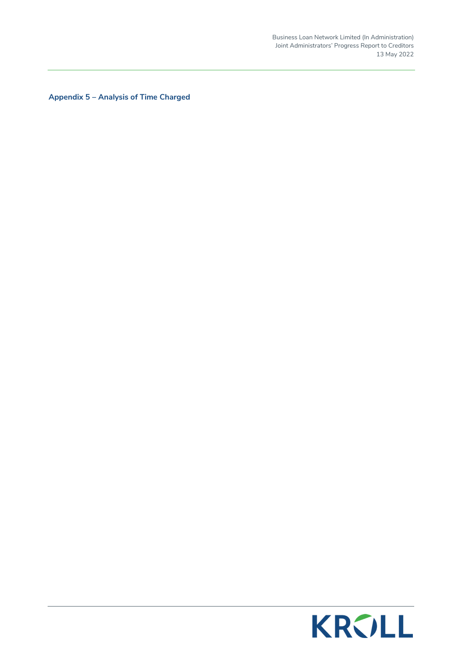Business Loan Network Limited (In Administration) Joint Administrators' Progress Report to Creditors 13 May 2022

**Appendix 5 – Analysis of Time Charged** 

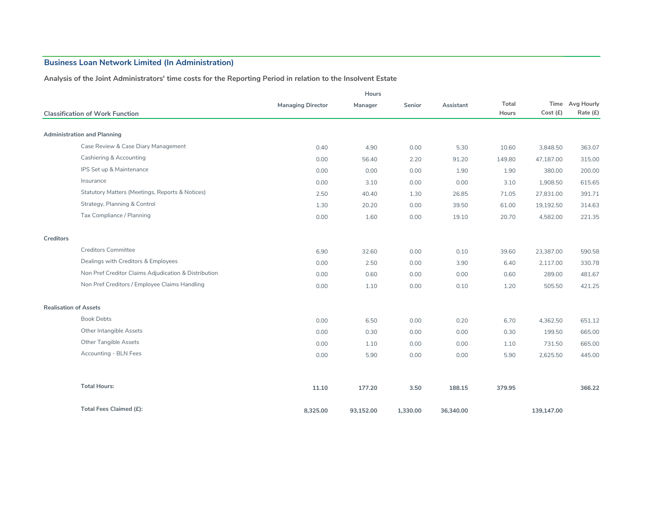#### **Analysis of the Joint Administrators' time costs for the Reporting Period in relation to the Insolvent Estate**

|                              |                                                      |                          | Hours     |          |           |        |            |                 |
|------------------------------|------------------------------------------------------|--------------------------|-----------|----------|-----------|--------|------------|-----------------|
|                              |                                                      | <b>Managing Director</b> | Manager   | Senior   | Assistant | Total  |            | Time Avg Hourly |
|                              | <b>Classification of Work Function</b>               |                          |           |          |           | Hours  | Cost (£)   | Rate (£)        |
|                              |                                                      |                          |           |          |           |        |            |                 |
|                              | <b>Administration and Planning</b>                   |                          |           |          |           |        |            |                 |
|                              | Case Review & Case Diary Management                  | 0.40                     | 4.90      | 0.00     | 5.30      | 10.60  | 3,848.50   | 363.07          |
|                              | Cashiering & Accounting                              | 0.00                     | 56.40     | 2.20     | 91.20     | 149.80 | 47,187.00  | 315.00          |
|                              | IPS Set up & Maintenance                             | 0.00                     | 0.00      | 0.00     | 1.90      | 1.90   | 380.00     | 200.00          |
|                              | Insurance                                            | 0.00                     | 3.10      | 0.00     | 0.00      | 3.10   | 1,908.50   | 615.65          |
|                              | Statutory Matters (Meetings, Reports & Notices)      | 2.50                     | 40.40     | 1.30     | 26.85     | 71.05  | 27,831.00  | 391.71          |
|                              | Strategy, Planning & Control                         | 1.30                     | 20.20     | 0.00     | 39.50     | 61.00  | 19,192.50  | 314.63          |
|                              | Tax Compliance / Planning                            | 0.00                     | 1.60      | 0.00     | 19.10     | 20.70  | 4,582.00   | 221.35          |
| Creditors                    |                                                      |                          |           |          |           |        |            |                 |
|                              | <b>Creditors Committee</b>                           | 6.90                     | 32.60     | 0.00     | 0.10      | 39.60  | 23,387.00  | 590.58          |
|                              | Dealings with Creditors & Employees                  | 0.00                     | 2.50      | 0.00     | 3.90      | 6.40   | 2,117.00   | 330.78          |
|                              | Non Pref Creditor Claims Adjudication & Distribution | 0.00                     | 0.60      | 0.00     | 0.00      | 0.60   | 289.00     | 481.67          |
|                              | Non Pref Creditors / Employee Claims Handling        | 0.00                     | 1.10      | 0.00     | 0.10      | 1.20   | 505.50     | 421.25          |
| <b>Realisation of Assets</b> |                                                      |                          |           |          |           |        |            |                 |
|                              | <b>Book Debts</b>                                    | 0.00                     | 6.50      | 0.00     | 0.20      | 6.70   | 4,362.50   | 651.12          |
|                              | Other Intangible Assets                              | 0.00                     | 0.30      | 0.00     | 0.00      | 0.30   | 199.50     | 665.00          |
|                              | Other Tangible Assets                                | 0.00                     | 1.10      | 0.00     | 0.00      | 1.10   | 731.50     | 665.00          |
|                              | Accounting - BLN Fees                                | 0.00                     | 5.90      | 0.00     | 0.00      | 5.90   | 2,625.50   | 445.00          |
|                              |                                                      |                          |           |          |           |        |            |                 |
|                              | <b>Total Hours:</b>                                  | 11.10                    | 177.20    | 3.50     | 188.15    | 379.95 |            | 366.22          |
|                              | Total Fees Claimed (£):                              | 8,325.00                 | 93,152.00 | 1,330.00 | 36,340.00 |        | 139,147.00 |                 |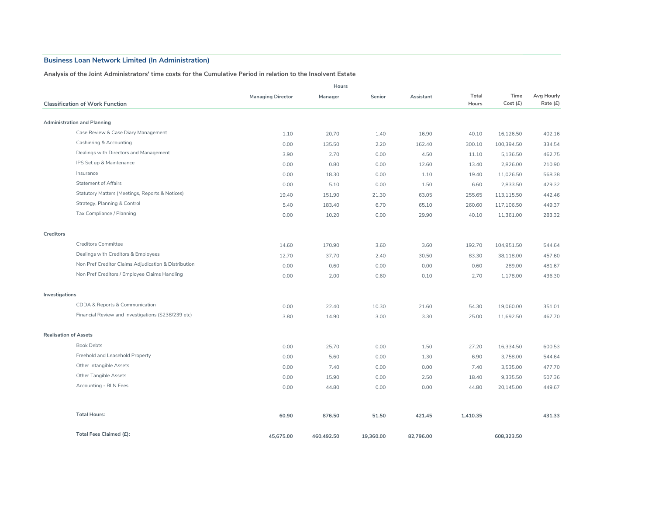#### **Analysis of the Joint Administrators' time costs for the Cumulative Period in relation to the Insolvent Estate**

|                              | Hours                                                |                          |            |           |           |                |                  |                        |
|------------------------------|------------------------------------------------------|--------------------------|------------|-----------|-----------|----------------|------------------|------------------------|
|                              | <b>Classification of Work Function</b>               | <b>Managing Director</b> | Manager    | Senior    | Assistant | Total<br>Hours | Time<br>Cost (£) | Avg Hourly<br>Rate (£) |
|                              |                                                      |                          |            |           |           |                |                  |                        |
|                              | <b>Administration and Planning</b>                   |                          |            |           |           |                |                  |                        |
|                              | Case Review & Case Diary Management                  | 1.10                     | 20.70      | 1.40      | 16.90     | 40.10          | 16,126.50        | 402.16                 |
|                              | Cashiering & Accounting                              | 0.00                     | 135.50     | 2.20      | 162.40    | 300.10         | 100,394.50       | 334.54                 |
|                              | Dealings with Directors and Management               | 3.90                     | 2.70       | 0.00      | 4.50      | 11.10          | 5,136.50         | 462.75                 |
|                              | IPS Set up & Maintenance                             | 0.00                     | 0.80       | 0.00      | 12.60     | 13.40          | 2,826.00         | 210.90                 |
|                              | Insurance                                            | 0.00                     | 18.30      | 0.00      | 1.10      | 19.40          | 11,026.50        | 568.38                 |
|                              | <b>Statement of Affairs</b>                          | 0.00                     | 5.10       | 0.00      | 1.50      | 6.60           | 2,833.50         | 429.32                 |
|                              | Statutory Matters (Meetings, Reports & Notices)      | 19.40                    | 151.90     | 21.30     | 63.05     | 255.65         | 113,115.50       | 442.46                 |
|                              | Strategy, Planning & Control                         | 5.40                     | 183.40     | 6.70      | 65.10     | 260.60         | 117,106.50       | 449.37                 |
|                              | Tax Compliance / Planning                            | 0.00                     | 10.20      | 0.00      | 29.90     | 40.10          | 11,361.00        | 283.32                 |
| Creditors                    |                                                      |                          |            |           |           |                |                  |                        |
|                              | <b>Creditors Committee</b>                           | 14.60                    | 170.90     | 3.60      | 3.60      | 192.70         | 104,951.50       | 544.64                 |
|                              | Dealings with Creditors & Employees                  | 12.70                    | 37.70      | 2.40      | 30.50     | 83.30          | 38,118.00        | 457.60                 |
|                              | Non Pref Creditor Claims Adjudication & Distribution | 0.00                     | 0.60       | 0.00      | 0.00      | 0.60           | 289.00           | 481.67                 |
|                              | Non Pref Creditors / Employee Claims Handling        | 0.00                     | 2.00       | 0.60      | 0.10      | 2.70           | 1,178.00         | 436.30                 |
| Investigations               |                                                      |                          |            |           |           |                |                  |                        |
|                              | CDDA & Reports & Communication                       | 0.00                     | 22.40      | 10.30     | 21.60     | 54.30          | 19,060.00        | 351.01                 |
|                              | Financial Review and Investigations (S238/239 etc)   | 3.80                     | 14.90      | 3.00      | 3.30      | 25.00          | 11,692.50        | 467.70                 |
| <b>Realisation of Assets</b> |                                                      |                          |            |           |           |                |                  |                        |
|                              | <b>Book Debts</b>                                    | 0.00                     | 25.70      | 0.00      | 1.50      | 27.20          | 16,334.50        | 600.53                 |
|                              | Freehold and Leasehold Property                      | 0.00                     | 5.60       | 0.00      | 1.30      | 6.90           | 3,758.00         | 544.64                 |
|                              | Other Intangible Assets                              | 0.00                     | 7.40       | 0.00      | 0.00      | 7.40           | 3,535.00         | 477.70                 |
|                              | <b>Other Tangible Assets</b>                         | 0.00                     | 15.90      | 0.00      | 2.50      | 18.40          | 9,335.50         | 507.36                 |
|                              | Accounting - BLN Fees                                | 0.00                     | 44.80      | 0.00      | 0.00      | 44.80          | 20,145.00        | 449.67                 |
|                              | <b>Total Hours:</b>                                  | 60.90                    | 876.50     | 51.50     | 421.45    | 1,410.35       |                  | 431.33                 |
|                              | Total Fees Claimed (£):                              | 45,675.00                | 460,492.50 | 19,360.00 | 82,796.00 |                | 608,323.50       |                        |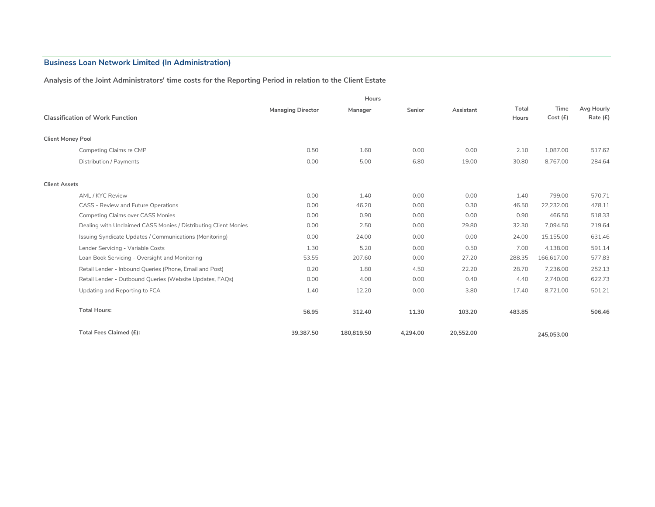#### **Analysis of the Joint Administrators' time costs for the Reporting Period in relation to the Client Estate**

|                                                                 |                          | Hours      |          |           |        |            |            |
|-----------------------------------------------------------------|--------------------------|------------|----------|-----------|--------|------------|------------|
|                                                                 | <b>Managing Director</b> | Manager    | Senior   | Assistant | Total  | Time       | Avg Hourly |
| <b>Classification of Work Function</b>                          |                          |            |          |           | Hours  | Cost(E)    | Rate (£)   |
|                                                                 |                          |            |          |           |        |            |            |
| <b>Client Money Pool</b>                                        |                          |            |          |           |        |            |            |
| Competing Claims re CMP                                         | 0.50                     | 1.60       | 0.00     | 0.00      | 2.10   | 1.087.00   | 517.62     |
| Distribution / Payments                                         | 0.00                     | 5.00       | 6.80     | 19.00     | 30.80  | 8,767.00   | 284.64     |
|                                                                 |                          |            |          |           |        |            |            |
| <b>Client Assets</b>                                            |                          |            |          |           |        |            |            |
| AML / KYC Review                                                | 0.00                     | 1.40       | 0.00     | 0.00      | 1.40   | 799.00     | 570.71     |
| CASS - Review and Future Operations                             | 0.00                     | 46.20      | 0.00     | 0.30      | 46.50  | 22.232.00  | 478.11     |
| <b>Competing Claims over CASS Monies</b>                        | 0.00                     | 0.90       | 0.00     | 0.00      | 0.90   | 466.50     | 518.33     |
| Dealing with Unclaimed CASS Monies / Distributing Client Monies | 0.00                     | 2.50       | 0.00     | 29.80     | 32.30  | 7,094.50   | 219.64     |
| Issuing Syndicate Updates / Communications (Monitoring)         | 0.00                     | 24.00      | 0.00     | 0.00      | 24.00  | 15,155.00  | 631.46     |
| Lender Servicing - Variable Costs                               | 1.30                     | 5.20       | 0.00     | 0.50      | 7.00   | 4.138.00   | 591.14     |
| Loan Book Servicing - Oversight and Monitoring                  | 53.55                    | 207.60     | 0.00     | 27.20     | 288.35 | 166,617.00 | 577.83     |
| Retail Lender - Inbound Queries (Phone, Email and Post)         | 0.20                     | 1.80       | 4.50     | 22.20     | 28.70  | 7,236.00   | 252.13     |
| Retail Lender - Outbound Queries (Website Updates, FAQs)        | 0.00                     | 4.00       | 0.00     | 0.40      | 4.40   | 2,740.00   | 622.73     |
| Updating and Reporting to FCA                                   | 1.40                     | 12.20      | 0.00     | 3.80      | 17.40  | 8,721.00   | 501.21     |
|                                                                 |                          |            |          |           |        |            |            |
| <b>Total Hours:</b>                                             | 56.95                    | 312.40     | 11.30    | 103.20    | 483.85 |            | 506.46     |
| Total Fees Claimed (£):                                         | 39,387.50                | 180,819.50 | 4.294.00 | 20,552.00 |        | 245,053,00 |            |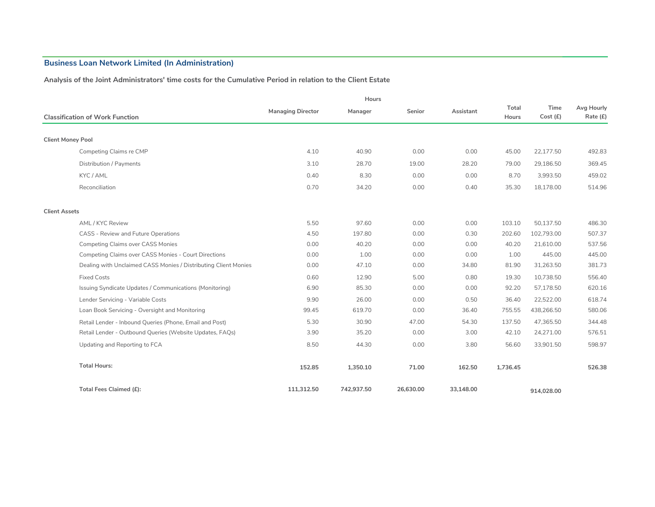#### **Analysis of the Joint Administrators' time costs for the Cumulative Period in relation to the Client Estate**

|                          |                                                                 | Hours                    |            |           |           |          |            |            |
|--------------------------|-----------------------------------------------------------------|--------------------------|------------|-----------|-----------|----------|------------|------------|
|                          |                                                                 | <b>Managing Director</b> | Manager    | Senior    | Assistant | Total    | Time       | Avg Hourly |
|                          | <b>Classification of Work Function</b>                          |                          |            |           |           | Hours    | Cost (£)   | Rate (£)   |
| <b>Client Money Pool</b> |                                                                 |                          |            |           |           |          |            |            |
|                          |                                                                 |                          |            |           |           |          |            |            |
|                          | Competing Claims re CMP                                         | 4.10                     | 40.90      | 0.00      | 0.00      | 45.00    | 22,177.50  | 492.83     |
|                          | Distribution / Payments                                         | 3.10                     | 28.70      | 19.00     | 28.20     | 79.00    | 29,186.50  | 369.45     |
|                          | KYC / AML                                                       | 0.40                     | 8.30       | 0.00      | 0.00      | 8.70     | 3,993.50   | 459.02     |
|                          | Reconciliation                                                  | 0.70                     | 34.20      | 0.00      | 0.40      | 35.30    | 18.178.00  | 514.96     |
| <b>Client Assets</b>     |                                                                 |                          |            |           |           |          |            |            |
|                          | AML / KYC Review                                                | 5.50                     | 97.60      | 0.00      | 0.00      | 103.10   | 50,137.50  | 486.30     |
|                          | CASS - Review and Future Operations                             | 4.50                     | 197.80     | 0.00      | 0.30      | 202.60   | 102.793.00 | 507.37     |
|                          | <b>Competing Claims over CASS Monies</b>                        | 0.00                     | 40.20      | 0.00      | 0.00      | 40.20    | 21,610.00  | 537.56     |
|                          | Competing Claims over CASS Monies - Court Directions            | 0.00                     | 1.00       | 0.00      | 0.00      | 1.00     | 445.00     | 445.00     |
|                          | Dealing with Unclaimed CASS Monies / Distributing Client Monies | 0.00                     | 47.10      | 0.00      | 34.80     | 81.90    | 31,263.50  | 381.73     |
|                          | <b>Fixed Costs</b>                                              | 0.60                     | 12.90      | 5.00      | 0.80      | 19.30    | 10,738.50  | 556.40     |
|                          | Issuing Syndicate Updates / Communications (Monitoring)         | 6.90                     | 85.30      | 0.00      | 0.00      | 92.20    | 57,178.50  | 620.16     |
|                          | Lender Servicing - Variable Costs                               | 9.90                     | 26.00      | 0.00      | 0.50      | 36.40    | 22,522.00  | 618.74     |
|                          | Loan Book Servicing - Oversight and Monitoring                  | 99.45                    | 619.70     | 0.00      | 36.40     | 755.55   | 438,266.50 | 580.06     |
|                          | Retail Lender - Inbound Queries (Phone, Email and Post)         | 5.30                     | 30.90      | 47.00     | 54.30     | 137.50   | 47,365.50  | 344.48     |
|                          | Retail Lender - Outbound Queries (Website Updates, FAQs)        | 3.90                     | 35.20      | 0.00      | 3.00      | 42.10    | 24,271.00  | 576.51     |
|                          | Updating and Reporting to FCA                                   | 8.50                     | 44.30      | 0.00      | 3.80      | 56.60    | 33,901.50  | 598.97     |
|                          | <b>Total Hours:</b>                                             | 152.85                   | 1,350.10   | 71.00     | 162.50    | 1,736.45 |            | 526.38     |
|                          | Total Fees Claimed (£):                                         | 111.312.50               | 742,937.50 | 26,630,00 | 33.148.00 |          | 914.028.00 |            |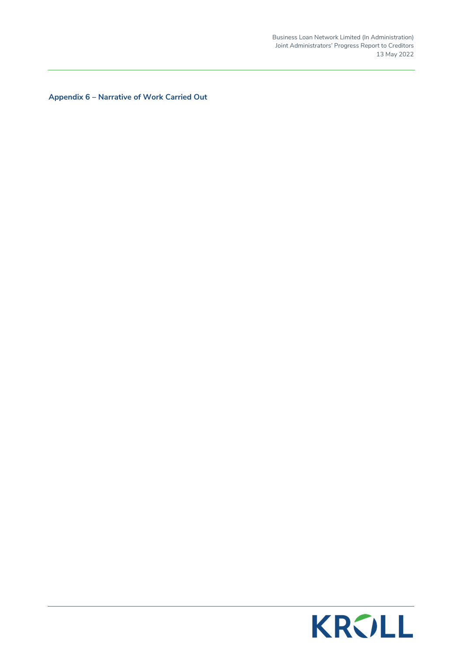Business Loan Network Limited (In Administration) Joint Administrators' Progress Report to Creditors 13 May 2022

**Appendix 6 – Narrative of Work Carried Out** 

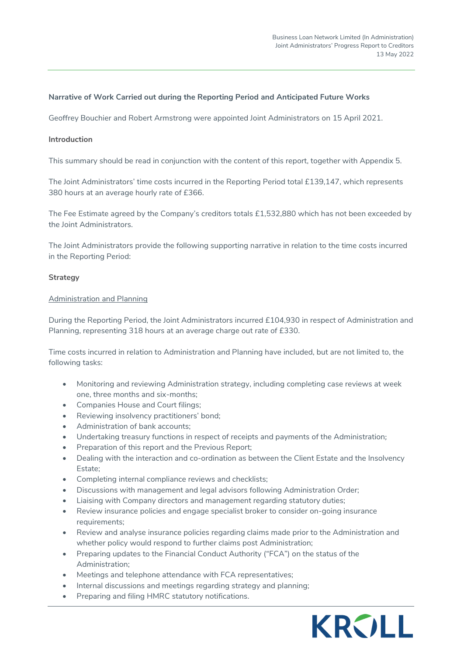#### **Narrative of Work Carried out during the Reporting Period and Anticipated Future Works**

Geoffrey Bouchier and Robert Armstrong were appointed Joint Administrators on 15 April 2021.

#### **Introduction**

This summary should be read in conjunction with the content of this report, together with Appendix 5.

The Joint Administrators' time costs incurred in the Reporting Period total £139,147, which represents 380 hours at an average hourly rate of £366.

The Fee Estimate agreed by the Company's creditors totals £1,532,880 which has not been exceeded by the Joint Administrators.

The Joint Administrators provide the following supporting narrative in relation to the time costs incurred in the Reporting Period:

#### **Strategy**

#### Administration and Planning

During the Reporting Period, the Joint Administrators incurred £104,930 in respect of Administration and Planning, representing 318 hours at an average charge out rate of £330.

Time costs incurred in relation to Administration and Planning have included, but are not limited to, the following tasks:

- Monitoring and reviewing Administration strategy, including completing case reviews at week one, three months and six-months;
- Companies House and Court filings;
- Reviewing insolvency practitioners' bond;
- Administration of bank accounts;
- Undertaking treasury functions in respect of receipts and payments of the Administration;
- Preparation of this report and the Previous Report;
- Dealing with the interaction and co-ordination as between the Client Estate and the Insolvency Estate;
- Completing internal compliance reviews and checklists;
- Discussions with management and legal advisors following Administration Order;
- Liaising with Company directors and management regarding statutory duties;
- Review insurance policies and engage specialist broker to consider on-going insurance requirements;
- Review and analyse insurance policies regarding claims made prior to the Administration and whether policy would respond to further claims post Administration;
- Preparing updates to the Financial Conduct Authority ("FCA") on the status of the Administration;
- Meetings and telephone attendance with FCA representatives;
- Internal discussions and meetings regarding strategy and planning;
- Preparing and filing HMRC statutory notifications.

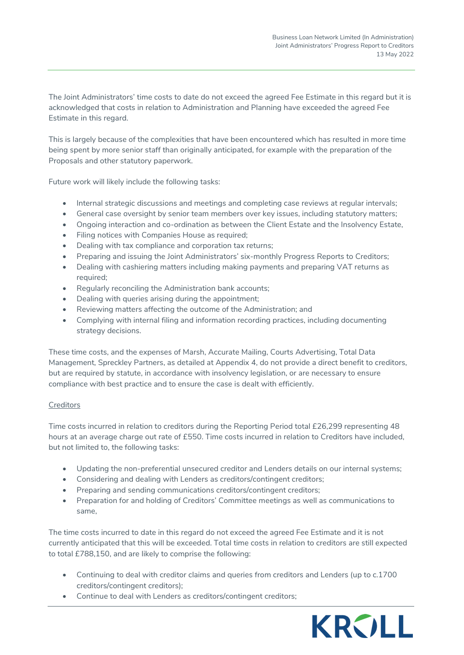The Joint Administrators' time costs to date do not exceed the agreed Fee Estimate in this regard but it is acknowledged that costs in relation to Administration and Planning have exceeded the agreed Fee Estimate in this regard.

This is largely because of the complexities that have been encountered which has resulted in more time being spent by more senior staff than originally anticipated, for example with the preparation of the Proposals and other statutory paperwork.

Future work will likely include the following tasks:

- Internal strategic discussions and meetings and completing case reviews at regular intervals;
- General case oversight by senior team members over key issues, including statutory matters;
- Ongoing interaction and co-ordination as between the Client Estate and the Insolvency Estate,
- Filing notices with Companies House as required;
- Dealing with tax compliance and corporation tax returns;
- Preparing and issuing the Joint Administrators' six-monthly Progress Reports to Creditors;
- Dealing with cashiering matters including making payments and preparing VAT returns as required;
- Regularly reconciling the Administration bank accounts;
- Dealing with queries arising during the appointment;
- Reviewing matters affecting the outcome of the Administration; and
- Complying with internal filing and information recording practices, including documenting strategy decisions.

These time costs, and the expenses of Marsh, Accurate Mailing, Courts Advertising, Total Data Management, Spreckley Partners, as detailed at Appendix 4, do not provide a direct benefit to creditors, but are required by statute, in accordance with insolvency legislation, or are necessary to ensure compliance with best practice and to ensure the case is dealt with efficiently.

#### **Creditors**

Time costs incurred in relation to creditors during the Reporting Period total £26,299 representing 48 hours at an average charge out rate of £550. Time costs incurred in relation to Creditors have included, but not limited to, the following tasks:

- Updating the non-preferential unsecured creditor and Lenders details on our internal systems;
- Considering and dealing with Lenders as creditors/contingent creditors;
- Preparing and sending communications creditors/contingent creditors;
- Preparation for and holding of Creditors' Committee meetings as well as communications to same,

The time costs incurred to date in this regard do not exceed the agreed Fee Estimate and it is not currently anticipated that this will be exceeded. Total time costs in relation to creditors are still expected to total £788,150, and are likely to comprise the following:

- Continuing to deal with creditor claims and queries from creditors and Lenders (up to c.1700 creditors/contingent creditors);
- Continue to deal with Lenders as creditors/contingent creditors;

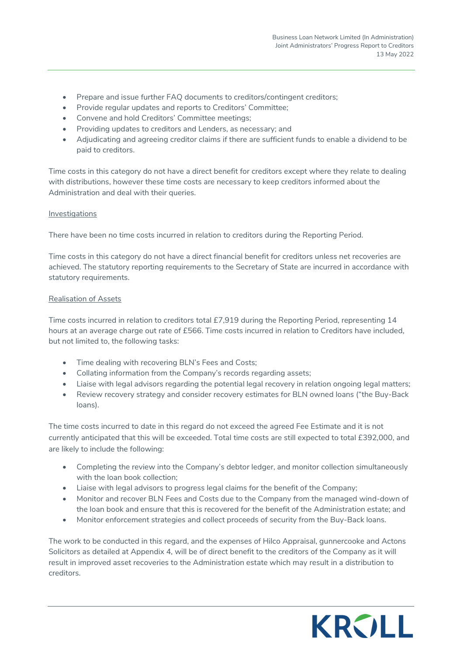- Prepare and issue further FAQ documents to creditors/contingent creditors;
- Provide regular updates and reports to Creditors' Committee;
- Convene and hold Creditors' Committee meetings;
- Providing updates to creditors and Lenders, as necessary; and
- Adjudicating and agreeing creditor claims if there are sufficient funds to enable a dividend to be paid to creditors.

Time costs in this category do not have a direct benefit for creditors except where they relate to dealing with distributions, however these time costs are necessary to keep creditors informed about the Administration and deal with their queries.

#### Investigations

There have been no time costs incurred in relation to creditors during the Reporting Period.

Time costs in this category do not have a direct financial benefit for creditors unless net recoveries are achieved. The statutory reporting requirements to the Secretary of State are incurred in accordance with statutory requirements.

#### Realisation of Assets

Time costs incurred in relation to creditors total £7,919 during the Reporting Period, representing 14 hours at an average charge out rate of £566. Time costs incurred in relation to Creditors have included, but not limited to, the following tasks:

- Time dealing with recovering BLN's Fees and Costs;
- Collating information from the Company's records regarding assets;
- Liaise with legal advisors regarding the potential legal recovery in relation ongoing legal matters;
- Review recovery strategy and consider recovery estimates for BLN owned loans ("the Buy-Back loans).

The time costs incurred to date in this regard do not exceed the agreed Fee Estimate and it is not currently anticipated that this will be exceeded. Total time costs are still expected to total £392,000, and are likely to include the following:

- Completing the review into the Company's debtor ledger, and monitor collection simultaneously with the loan book collection;
- Liaise with legal advisors to progress legal claims for the benefit of the Company;
- Monitor and recover BLN Fees and Costs due to the Company from the managed wind-down of the loan book and ensure that this is recovered for the benefit of the Administration estate; and
- Monitor enforcement strategies and collect proceeds of security from the Buy-Back loans.

The work to be conducted in this regard, and the expenses of Hilco Appraisal, gunnercooke and Actons Solicitors as detailed at Appendix 4, will be of direct benefit to the creditors of the Company as it will result in improved asset recoveries to the Administration estate which may result in a distribution to creditors.

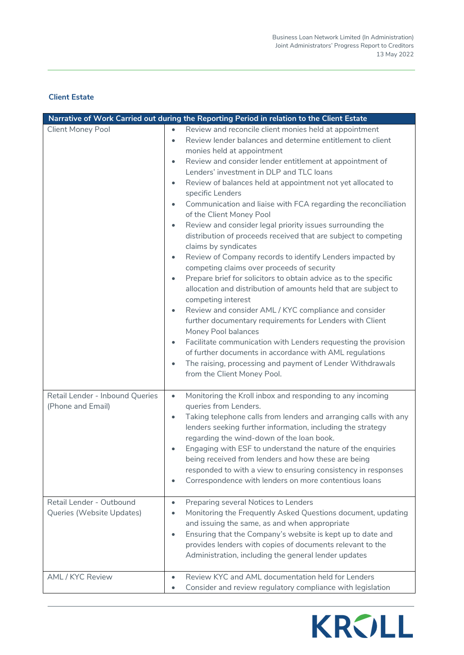# **Client Estate**

|                                                                                                               | Narrative of Work Carried out during the Reporting Period in relation to the Client Estate                                                                                                                                                                                                                                                                                                                                                                                                                                                                                                                                                                                                                                                                                                                                                                                                                                                                                                                                                                                                                                                                                                                                                                                                                                                                                                      |
|---------------------------------------------------------------------------------------------------------------|-------------------------------------------------------------------------------------------------------------------------------------------------------------------------------------------------------------------------------------------------------------------------------------------------------------------------------------------------------------------------------------------------------------------------------------------------------------------------------------------------------------------------------------------------------------------------------------------------------------------------------------------------------------------------------------------------------------------------------------------------------------------------------------------------------------------------------------------------------------------------------------------------------------------------------------------------------------------------------------------------------------------------------------------------------------------------------------------------------------------------------------------------------------------------------------------------------------------------------------------------------------------------------------------------------------------------------------------------------------------------------------------------|
| <b>Client Money Pool</b>                                                                                      | Review and reconcile client monies held at appointment<br>$\bullet$<br>Review lender balances and determine entitlement to client<br>$\bullet$<br>monies held at appointment<br>Review and consider lender entitlement at appointment of<br>$\bullet$<br>Lenders' investment in DLP and TLC loans<br>Review of balances held at appointment not yet allocated to<br>$\bullet$<br>specific Lenders<br>Communication and liaise with FCA regarding the reconciliation<br>$\bullet$<br>of the Client Money Pool<br>Review and consider legal priority issues surrounding the<br>$\bullet$<br>distribution of proceeds received that are subject to competing<br>claims by syndicates<br>Review of Company records to identify Lenders impacted by<br>$\bullet$<br>competing claims over proceeds of security<br>Prepare brief for solicitors to obtain advice as to the specific<br>$\bullet$<br>allocation and distribution of amounts held that are subject to<br>competing interest<br>Review and consider AML / KYC compliance and consider<br>$\bullet$<br>further documentary requirements for Lenders with Client<br>Money Pool balances<br>Facilitate communication with Lenders requesting the provision<br>$\bullet$<br>of further documents in accordance with AML regulations<br>The raising, processing and payment of Lender Withdrawals<br>$\bullet$<br>from the Client Money Pool. |
| Retail Lender - Inbound Queries<br>(Phone and Email)<br>Retail Lender - Outbound<br>Queries (Website Updates) | Monitoring the Kroll inbox and responding to any incoming<br>$\bullet$<br>queries from Lenders.<br>Taking telephone calls from lenders and arranging calls with any<br>$\bullet$<br>lenders seeking further information, including the strategy<br>regarding the wind-down of the loan book.<br>Engaging with ESF to understand the nature of the enquiries<br>$\bullet$<br>being received from lenders and how these are being<br>responded to with a view to ensuring consistency in responses<br>Correspondence with lenders on more contentious loans<br>$\bullet$<br>Preparing several Notices to Lenders<br>$\bullet$<br>Monitoring the Frequently Asked Questions document, updating<br>$\bullet$<br>and issuing the same, as and when appropriate                                                                                                                                                                                                                                                                                                                                                                                                                                                                                                                                                                                                                                       |
|                                                                                                               | Ensuring that the Company's website is kept up to date and<br>$\bullet$<br>provides lenders with copies of documents relevant to the<br>Administration, including the general lender updates                                                                                                                                                                                                                                                                                                                                                                                                                                                                                                                                                                                                                                                                                                                                                                                                                                                                                                                                                                                                                                                                                                                                                                                                    |
| AML / KYC Review                                                                                              | Review KYC and AML documentation held for Lenders<br>$\bullet$<br>Consider and review regulatory compliance with legislation<br>$\bullet$                                                                                                                                                                                                                                                                                                                                                                                                                                                                                                                                                                                                                                                                                                                                                                                                                                                                                                                                                                                                                                                                                                                                                                                                                                                       |

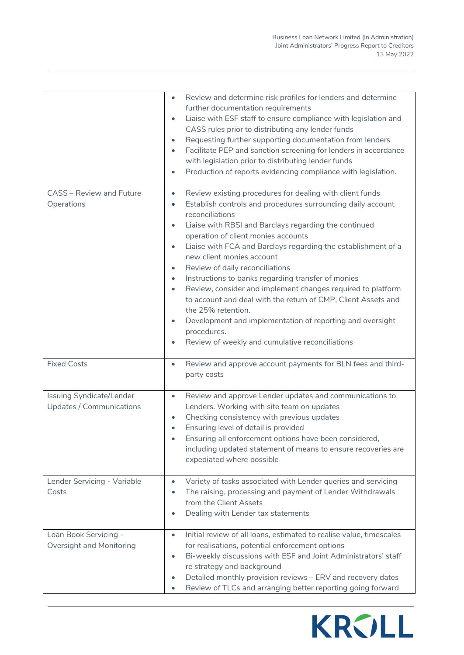|                                                      | Review and determine risk profiles for lenders and determine<br>$\bullet$<br>further documentation requirements<br>Liaise with ESF staff to ensure compliance with legislation and<br>$\bullet$<br>CASS rules prior to distributing any lender funds<br>Requesting further supporting documentation from lenders<br>$\bullet$<br>Facilitate PEP and sanction screening for lenders in accordance<br>with legislation prior to distributing lender funds<br>Production of reports evidencing compliance with legislation.<br>$\bullet$                                                                                                                                                                                                                 |
|------------------------------------------------------|-------------------------------------------------------------------------------------------------------------------------------------------------------------------------------------------------------------------------------------------------------------------------------------------------------------------------------------------------------------------------------------------------------------------------------------------------------------------------------------------------------------------------------------------------------------------------------------------------------------------------------------------------------------------------------------------------------------------------------------------------------|
| <b>CASS</b> - Review and Future                      | Review existing procedures for dealing with client funds<br>$\bullet$                                                                                                                                                                                                                                                                                                                                                                                                                                                                                                                                                                                                                                                                                 |
| Operations                                           | Establish controls and procedures surrounding daily account<br>$\bullet$<br>reconciliations<br>Liaise with RBSI and Barclays regarding the continued<br>$\bullet$<br>operation of client monies accounts<br>Liaise with FCA and Barclays regarding the establishment of a<br>$\bullet$<br>new client monies account<br>Review of daily reconciliations<br>$\bullet$<br>Instructions to banks regarding transfer of monies<br>$\bullet$<br>Review, consider and implement changes required to platform<br>$\bullet$<br>to account and deal with the return of CMP, Client Assets and<br>the 25% retention.<br>Development and implementation of reporting and oversight<br>$\bullet$<br>procedures.<br>Review of weekly and cumulative reconciliations |
| <b>Fixed Costs</b>                                   | Review and approve account payments for BLN fees and third-<br>$\bullet$<br>party costs                                                                                                                                                                                                                                                                                                                                                                                                                                                                                                                                                                                                                                                               |
| Issuing Syndicate/Lender<br>Updates / Communications | Review and approve Lender updates and communications to<br>$\bullet$<br>Lenders. Working with site team on updates<br>Checking consistency with previous updates<br>$\bullet$<br>Ensuring level of detail is provided<br>Ensuring all enforcement options have been considered,<br>including updated statement of means to ensure recoveries are<br>expediated where possible                                                                                                                                                                                                                                                                                                                                                                         |
| Lender Servicing - Variable<br>Costs                 | Variety of tasks associated with Lender queries and servicing<br>$\bullet$<br>The raising, processing and payment of Lender Withdrawals<br>$\bullet$<br>from the Client Assets<br>Dealing with Lender tax statements<br>$\bullet$                                                                                                                                                                                                                                                                                                                                                                                                                                                                                                                     |
| Loan Book Servicing -<br>Oversight and Monitoring    | Initial review of all loans, estimated to realise value, timescales<br>$\bullet$<br>for realisations, potential enforcement options<br>Bi-weekly discussions with ESF and Joint Administrators' staff<br>$\bullet$<br>re strategy and background<br>Detailed monthly provision reviews - ERV and recovery dates<br>$\bullet$<br>Review of TLCs and arranging better reporting going forward<br>$\bullet$                                                                                                                                                                                                                                                                                                                                              |

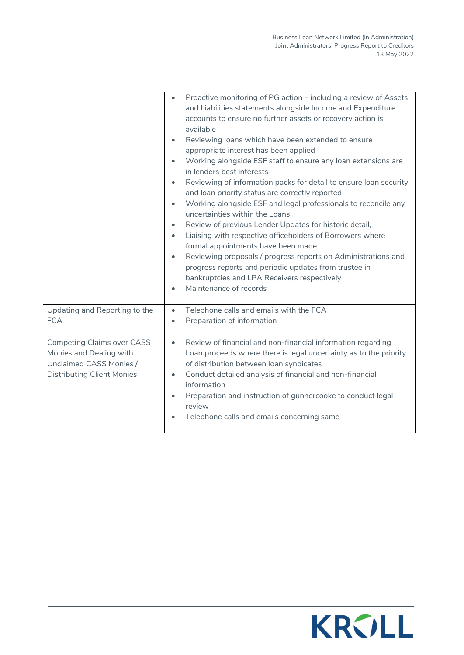|                                                                                                                              | Proactive monitoring of PG action - including a review of Assets<br>$\bullet$<br>and Liabilities statements alongside Income and Expenditure<br>accounts to ensure no further assets or recovery action is<br>available<br>Reviewing loans which have been extended to ensure<br>$\bullet$<br>appropriate interest has been applied<br>Working alongside ESF staff to ensure any loan extensions are<br>$\bullet$<br>in lenders best interests<br>Reviewing of information packs for detail to ensure loan security<br>$\bullet$<br>and loan priority status are correctly reported<br>Working alongside ESF and legal professionals to reconcile any<br>$\bullet$<br>uncertainties within the Loans<br>Review of previous Lender Updates for historic detail,<br>$\bullet$<br>Liaising with respective officeholders of Borrowers where<br>$\bullet$<br>formal appointments have been made<br>Reviewing proposals / progress reports on Administrations and<br>$\bullet$<br>progress reports and periodic updates from trustee in<br>bankruptcies and LPA Receivers respectively<br>Maintenance of records<br>$\bullet$ |
|------------------------------------------------------------------------------------------------------------------------------|--------------------------------------------------------------------------------------------------------------------------------------------------------------------------------------------------------------------------------------------------------------------------------------------------------------------------------------------------------------------------------------------------------------------------------------------------------------------------------------------------------------------------------------------------------------------------------------------------------------------------------------------------------------------------------------------------------------------------------------------------------------------------------------------------------------------------------------------------------------------------------------------------------------------------------------------------------------------------------------------------------------------------------------------------------------------------------------------------------------------------|
| Updating and Reporting to the<br><b>FCA</b>                                                                                  | Telephone calls and emails with the FCA<br>$\bullet$<br>Preparation of information<br>$\bullet$                                                                                                                                                                                                                                                                                                                                                                                                                                                                                                                                                                                                                                                                                                                                                                                                                                                                                                                                                                                                                          |
| <b>Competing Claims over CASS</b><br>Monies and Dealing with<br>Unclaimed CASS Monies /<br><b>Distributing Client Monies</b> | Review of financial and non-financial information regarding<br>$\bullet$<br>Loan proceeds where there is legal uncertainty as to the priority<br>of distribution between loan syndicates<br>Conduct detailed analysis of financial and non-financial<br>$\bullet$<br>information<br>Preparation and instruction of gunnercooke to conduct legal<br>review<br>Telephone calls and emails concerning same                                                                                                                                                                                                                                                                                                                                                                                                                                                                                                                                                                                                                                                                                                                  |

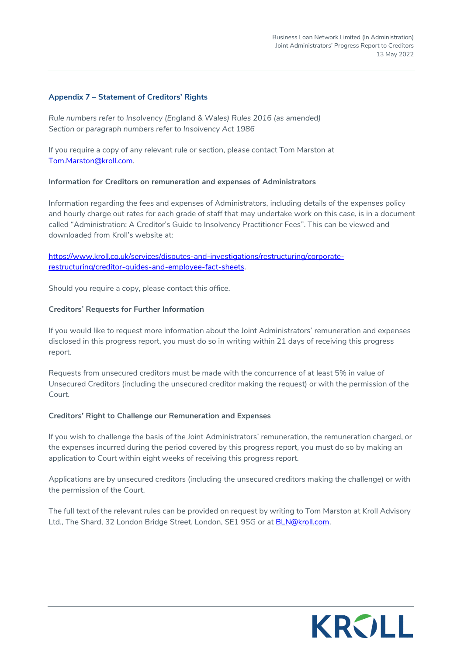#### **Appendix 7 – Statement of Creditors' Rights**

*Rule numbers refer to Insolvency (England & Wales) Rules 2016 (as amended) Section or paragraph numbers refer to Insolvency Act 1986* 

If you require a copy of any relevant rule or section, please contact Tom Marston at [Tom.Marston@kroll.com.](mailto:Tom.Marston@kroll.com) 

#### **Information for Creditors on remuneration and expenses of Administrators**

Information regarding the fees and expenses of Administrators, including details of the expenses policy and hourly charge out rates for each grade of staff that may undertake work on this case, is in a document called "Administration: A Creditor's Guide to Insolvency Practitioner Fees". This can be viewed and downloaded from Kroll's website at:

[https://www.kroll.co.uk/services/disputes-and-investigations/restructuring/corporate](https://www.kroll.co.uk/services/disputes-and-investigations/restructuring/corporate-restructuring/creditor-guides-and-employee-fact-sheets)[restructuring/creditor-guides-and-employee-fact-sheets.](https://www.kroll.co.uk/services/disputes-and-investigations/restructuring/corporate-restructuring/creditor-guides-and-employee-fact-sheets) 

Should you require a copy, please contact this office.

#### **Creditors' Requests for Further Information**

If you would like to request more information about the Joint Administrators' remuneration and expenses disclosed in this progress report, you must do so in writing within 21 days of receiving this progress report.

Requests from unsecured creditors must be made with the concurrence of at least 5% in value of Unsecured Creditors (including the unsecured creditor making the request) or with the permission of the Court.

#### **Creditors' Right to Challenge our Remuneration and Expenses**

If you wish to challenge the basis of the Joint Administrators' remuneration, the remuneration charged, or the expenses incurred during the period covered by this progress report, you must do so by making an application to Court within eight weeks of receiving this progress report.

Applications are by unsecured creditors (including the unsecured creditors making the challenge) or with the permission of the Court.

The full text of the relevant rules can be provided on request by writing to Tom Marston at Kroll Advisory Ltd., The Shard, 32 London Bridge Street, London, SE1 9SG or at BLN@kroll.com.

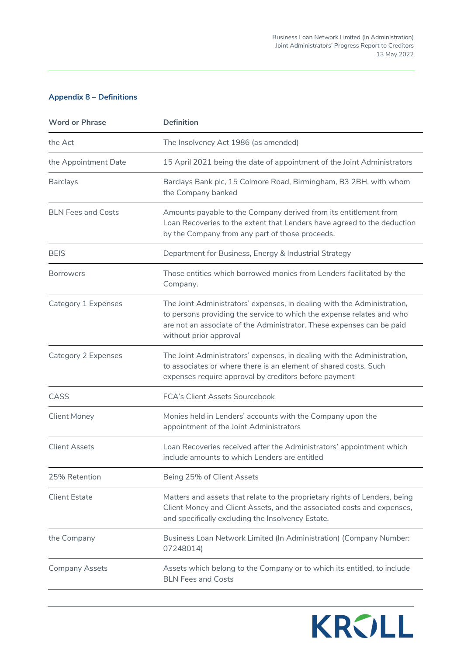# **Appendix 8 – Definitions**

| <b>Word or Phrase</b>     | <b>Definition</b>                                                                                                                                                                                                                                   |
|---------------------------|-----------------------------------------------------------------------------------------------------------------------------------------------------------------------------------------------------------------------------------------------------|
| the Act                   | The Insolvency Act 1986 (as amended)                                                                                                                                                                                                                |
| the Appointment Date      | 15 April 2021 being the date of appointment of the Joint Administrators                                                                                                                                                                             |
| <b>Barclays</b>           | Barclays Bank plc, 15 Colmore Road, Birmingham, B3 2BH, with whom<br>the Company banked                                                                                                                                                             |
| <b>BLN</b> Fees and Costs | Amounts payable to the Company derived from its entitlement from<br>Loan Recoveries to the extent that Lenders have agreed to the deduction<br>by the Company from any part of those proceeds.                                                      |
| <b>BEIS</b>               | Department for Business, Energy & Industrial Strategy                                                                                                                                                                                               |
| <b>Borrowers</b>          | Those entities which borrowed monies from Lenders facilitated by the<br>Company.                                                                                                                                                                    |
| Category 1 Expenses       | The Joint Administrators' expenses, in dealing with the Administration,<br>to persons providing the service to which the expense relates and who<br>are not an associate of the Administrator. These expenses can be paid<br>without prior approval |
| Category 2 Expenses       | The Joint Administrators' expenses, in dealing with the Administration,<br>to associates or where there is an element of shared costs. Such<br>expenses require approval by creditors before payment                                                |
| CASS                      | <b>FCA's Client Assets Sourcebook</b>                                                                                                                                                                                                               |
| <b>Client Money</b>       | Monies held in Lenders' accounts with the Company upon the<br>appointment of the Joint Administrators                                                                                                                                               |
| <b>Client Assets</b>      | Loan Recoveries received after the Administrators' appointment which<br>include amounts to which Lenders are entitled                                                                                                                               |
| 25% Retention             | Being 25% of Client Assets                                                                                                                                                                                                                          |
| <b>Client Estate</b>      | Matters and assets that relate to the proprietary rights of Lenders, being<br>Client Money and Client Assets, and the associated costs and expenses,<br>and specifically excluding the Insolvency Estate.                                           |
| the Company               | Business Loan Network Limited (In Administration) (Company Number:<br>07248014)                                                                                                                                                                     |
| <b>Company Assets</b>     | Assets which belong to the Company or to which its entitled, to include<br><b>BLN Fees and Costs</b>                                                                                                                                                |

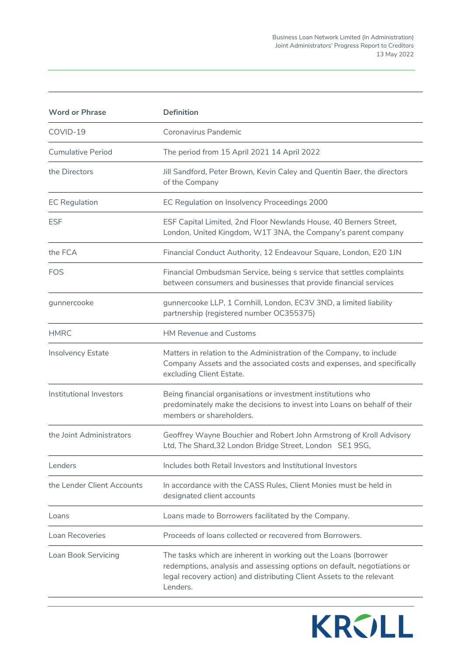| <b>Word or Phrase</b>      | <b>Definition</b>                                                                                                                                                                                                               |
|----------------------------|---------------------------------------------------------------------------------------------------------------------------------------------------------------------------------------------------------------------------------|
| COVID-19                   | Coronavirus Pandemic                                                                                                                                                                                                            |
| Cumulative Period          | The period from 15 April 2021 14 April 2022                                                                                                                                                                                     |
| the Directors              | Jill Sandford, Peter Brown, Kevin Caley and Quentin Baer, the directors<br>of the Company                                                                                                                                       |
| <b>EC Regulation</b>       | EC Regulation on Insolvency Proceedings 2000                                                                                                                                                                                    |
| <b>ESF</b>                 | ESF Capital Limited, 2nd Floor Newlands House, 40 Berners Street,<br>London, United Kingdom, W1T 3NA, the Company's parent company                                                                                              |
| the FCA                    | Financial Conduct Authority, 12 Endeavour Square, London, E20 1JN                                                                                                                                                               |
| FOS                        | Financial Ombudsman Service, being s service that settles complaints<br>between consumers and businesses that provide financial services                                                                                        |
| gunnercooke                | gunnercooke LLP, 1 Cornhill, London, EC3V 3ND, a limited liability<br>partnership (registered number OC355375)                                                                                                                  |
| <b>HMRC</b>                | <b>HM Revenue and Customs</b>                                                                                                                                                                                                   |
| Insolvency Estate          | Matters in relation to the Administration of the Company, to include<br>Company Assets and the associated costs and expenses, and specifically<br>excluding Client Estate.                                                      |
| Institutional Investors    | Being financial organisations or investment institutions who<br>predominately make the decisions to invest into Loans on behalf of their<br>members or shareholders.                                                            |
| the Joint Administrators   | Geoffrey Wayne Bouchier and Robert John Armstrong of Kroll Advisory<br>Ltd, The Shard, 32 London Bridge Street, London SE1 9SG,                                                                                                 |
| Lenders                    | Includes both Retail Investors and Institutional Investors                                                                                                                                                                      |
| the Lender Client Accounts | In accordance with the CASS Rules, Client Monies must be held in<br>designated client accounts                                                                                                                                  |
| Loans                      | Loans made to Borrowers facilitated by the Company.                                                                                                                                                                             |
| Loan Recoveries            | Proceeds of loans collected or recovered from Borrowers.                                                                                                                                                                        |
| Loan Book Servicing        | The tasks which are inherent in working out the Loans (borrower<br>redemptions, analysis and assessing options on default, negotiations or<br>legal recovery action) and distributing Client Assets to the relevant<br>Lenders. |

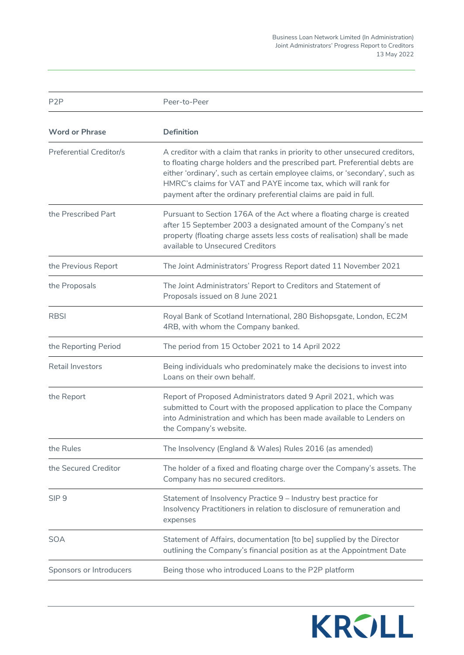Business Loan Network Limited (In Administration) Joint Administrators' Progress Report to Creditors 13 May 2022

P2P Peer-to-Peer **Word or Phrase Definition** Preferential Creditor/s A creditor with a claim that ranks in priority to other unsecured creditors, to floating charge holders and the prescribed part. Preferential debts are either 'ordinary', such as certain employee claims, or 'secondary', such as HMRC's claims for VAT and PAYE income tax, which will rank for payment after the ordinary preferential claims are paid in full. the Prescribed Part Pursuant to Section 176A of the Act where a floating charge is created after 15 September 2003 a designated amount of the Company's net property (floating charge assets less costs of realisation) shall be made available to Unsecured Creditors the Previous Report The Joint Administrators' Progress Report dated 11 November 2021 the Proposals The Joint Administrators' Report to Creditors and Statement of Proposals issued on 8 June 2021 RBSI Royal Bank of Scotland International, 280 Bishopsgate, London, EC2M 4RB, with whom the Company banked. the Reporting Period The period from 15 October 2021 to 14 April 2022 Retail Investors **Being individuals who predominately make the decisions to invest into** Loans on their own behalf. the Report **Report of Proposed Administrators dated 9 April 2021**, which was submitted to Court with the proposed application to place the Company into Administration and which has been made available to Lenders on the Company's website. the Rules The Insolvency (England & Wales) Rules 2016 (as amended) the Secured Creditor The holder of a fixed and floating charge over the Company's assets. The Company has no secured creditors. SIP 9 Statement of Insolvency Practice 9 – Industry best practice for Insolvency Practitioners in relation to disclosure of remuneration and expenses SOA Statement of Affairs, documentation [to be] supplied by the Director outlining the Company's financial position as at the Appointment Date Sponsors or Introducers Being those who introduced Loans to the P2P platform

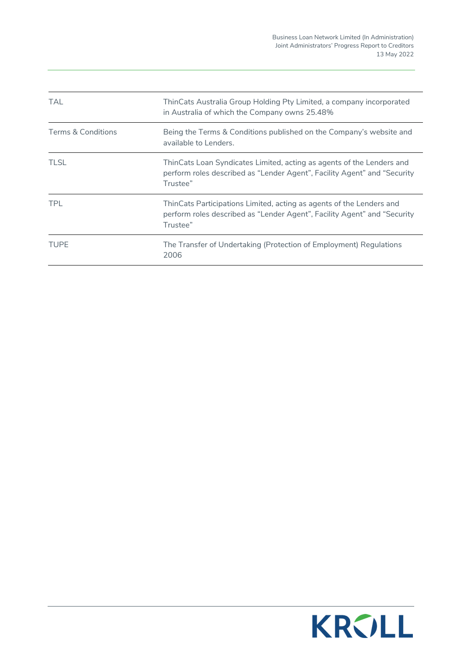| TAL.               | ThinCats Australia Group Holding Pty Limited, a company incorporated<br>in Australia of which the Company owns 25.48%                                         |
|--------------------|---------------------------------------------------------------------------------------------------------------------------------------------------------------|
| Terms & Conditions | Being the Terms & Conditions published on the Company's website and<br>available to Lenders.                                                                  |
| <b>TLSL</b>        | ThinCats Loan Syndicates Limited, acting as agents of the Lenders and<br>perform roles described as "Lender Agent", Facility Agent" and "Security<br>Trustee" |
| <b>TPL</b>         | ThinCats Participations Limited, acting as agents of the Lenders and<br>perform roles described as "Lender Agent", Facility Agent" and "Security<br>Trustee"  |
| <b>TUPE</b>        | The Transfer of Undertaking (Protection of Employment) Regulations<br>2006                                                                                    |